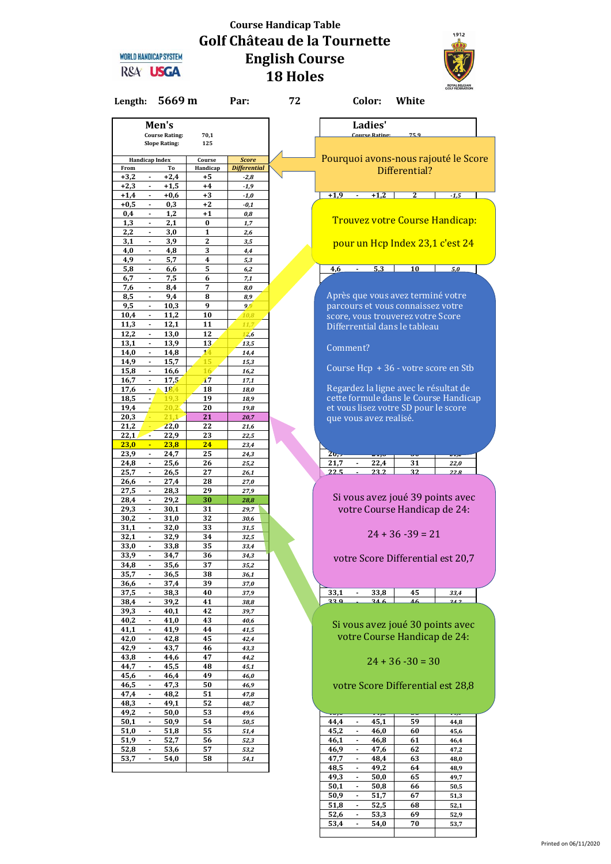**WORLD HANDICAP SYSTEM** R&A<sup>USGA</sup>



| Length:          | 5669 m                                                             |                          | Par:                | 72 |                     | Color:                                               |                          | White                                | <b>GOLF FEDERATION</b>                |  |
|------------------|--------------------------------------------------------------------|--------------------------|---------------------|----|---------------------|------------------------------------------------------|--------------------------|--------------------------------------|---------------------------------------|--|
|                  | Men's                                                              |                          |                     |    |                     |                                                      | Ladies'                  |                                      |                                       |  |
|                  | <b>Course Rating:</b>                                              | 70,1                     |                     |    |                     |                                                      | Course Ratino:           | 75.9                                 |                                       |  |
|                  | <b>Slope Rating:</b>                                               | 125                      |                     |    |                     |                                                      |                          |                                      |                                       |  |
|                  | <b>Handicap Index</b>                                              | Course                   | <b>Score</b>        |    |                     |                                                      |                          |                                      | Pourquoi avons-nous rajouté le Score  |  |
| From             | To                                                                 | Handicap                 | <b>Differential</b> |    |                     |                                                      |                          | Differential?                        |                                       |  |
| $+3,2$<br>$+2,3$ | $+2,4$<br>$\sim$<br>+1,5<br>$\blacksquare$                         | +5<br>$+4$               | $-2,8$<br>$-1,9$    |    |                     |                                                      |                          |                                      |                                       |  |
| $+1,4$           | $\blacksquare$<br>$+0,6$                                           | $+3$                     | $-1,0$              |    | $+1,9$              | $\blacksquare$                                       | $+1,2$                   | 2                                    | $-1,5$                                |  |
| $+0,5$           | 0,3<br>$\blacksquare$                                              | $+2$                     | -0,1                |    |                     |                                                      |                          |                                      |                                       |  |
| 0,4              | 1,2<br>$\blacksquare$                                              | $+1$                     | 0,8                 |    |                     |                                                      |                          |                                      | Trouvez votre Course Handicap:        |  |
| 1,3<br>2,2       | 2,1<br>$\overline{\phantom{a}}$<br>$\overline{\phantom{a}}$<br>3,0 | $\bf{0}$<br>$\mathbf{1}$ | 1,7                 |    |                     |                                                      |                          |                                      |                                       |  |
| 3,1              | 3,9<br>$\overline{\phantom{a}}$                                    | $\mathbf{2}$             | 2,6<br>3,5          |    |                     |                                                      |                          |                                      | pour un Hcp Index 23,1 c'est 24       |  |
| 4,0              | 4,8<br>$\blacksquare$                                              | 3                        | 4,4                 |    |                     |                                                      |                          |                                      |                                       |  |
| 4,9              | 5,7<br>$\overline{\phantom{a}}$                                    | $\overline{\mathbf{4}}$  | 5,3                 |    |                     |                                                      |                          |                                      |                                       |  |
| 5,8              | $\overline{\phantom{a}}$<br>6,6                                    | 5                        | 6,2                 |    | 4,6                 | $\blacksquare$                                       | 5.3                      | 10                                   | 5.0                                   |  |
| 6,7<br>7,6       | 7,5<br>٠<br>$\overline{\phantom{a}}$<br>8,4                        | 6<br>7                   | 7,1<br>8,0          |    |                     |                                                      |                          |                                      |                                       |  |
| 8,5              | 9,4<br>٠                                                           | 8                        | 8,9                 |    |                     |                                                      |                          | Après que vous avez terminé votre    |                                       |  |
| 9,5              | 10,3<br>$\overline{\phantom{a}}$                                   | 9                        | 9.9                 |    |                     |                                                      |                          | parcours et vous connaissez votre    |                                       |  |
| 10,4             | 11,2<br>$\overline{\phantom{a}}$                                   | 10                       | 10,8                |    |                     |                                                      |                          | score, vous trouverez votre Score    |                                       |  |
| 11,3             | 12,1<br>$\overline{\phantom{a}}$                                   | 11                       | 11,7                |    |                     |                                                      |                          | Differrential dans le tableau        |                                       |  |
| 12,2<br>13,1     | 13,0<br>٠<br>$\blacksquare$<br>13,9                                | 12<br>13                 | 12,6<br>13,5        |    |                     |                                                      |                          |                                      |                                       |  |
| 14,0             | 14,8<br>٠                                                          | 14                       | 14,4                |    | Comment?            |                                                      |                          |                                      |                                       |  |
| 14,9             | 15,7<br>$\overline{\phantom{a}}$                                   | 15                       | 15,3                |    |                     |                                                      |                          |                                      |                                       |  |
| 15,8             | 16,6<br>$\overline{\phantom{a}}$                                   | 16                       | 16,2                |    |                     |                                                      |                          |                                      | Course Hcp + 36 - votre score en Stb  |  |
| 16,7             | 17,5<br>$\blacksquare$<br>$\overline{\phantom{a}}$                 | 17<br>18                 | 17,1                |    |                     |                                                      |                          |                                      | Regardez la ligne avec le résultat de |  |
| 17,6<br>18,5     | 18,4<br>19,3<br>$\blacksquare$                                     | 19                       | 18,0<br>18,9        |    |                     |                                                      |                          |                                      | cette formule dans le Course Handicap |  |
| 19,4             | 20,2                                                               | 20                       | 19,8                |    |                     |                                                      |                          | et vous lisez votre SD pour le score |                                       |  |
| 20,3             | 21.1                                                               | 21                       | 20,7                |    |                     |                                                      |                          | que vous avez realisé.               |                                       |  |
| 21,2             | 22,0                                                               | 22                       | 21,6                |    |                     |                                                      |                          |                                      |                                       |  |
| 22,1<br>23,0     | ÷.<br>22,9<br><b>23,8</b><br>$\sim$                                | 23<br>24                 | 22,5<br>23,4        |    |                     |                                                      |                          |                                      |                                       |  |
| 23,9             | $\overline{\phantom{a}}$<br>24,7                                   | 25                       | 24,3                |    | 20,7                |                                                      | a ayo                    |                                      |                                       |  |
| 24,8             | 25,6<br>٠                                                          | 26                       | 25,2                |    | 21,7                |                                                      | 22,4                     | 31                                   | 22,0                                  |  |
| 25,7             | $\overline{\phantom{a}}$<br>26,5                                   | 27                       | 26,1                |    | 22.5                |                                                      | 23.2                     | 32                                   | 22R                                   |  |
| 26,6             | 27,4<br>٠                                                          | 28                       | 27,0                |    |                     |                                                      |                          |                                      |                                       |  |
| 27,5<br>28,4     | $\overline{\phantom{a}}$<br>28,3<br>29,2<br>٠                      | 29<br>30                 | 27,9<br>28,8        |    |                     |                                                      |                          |                                      | Si vous avez joué 39 points avec      |  |
| 29,3             | $\overline{\phantom{a}}$<br>30,1                                   | 31                       | 29,7                |    |                     |                                                      |                          |                                      | votre Course Handicap de 24:          |  |
| 30,2             | 31,0<br>٠                                                          | 32                       | 30,6                |    |                     |                                                      |                          |                                      |                                       |  |
| 31,1             | $\blacksquare$<br>32,0                                             | 33                       | 31,5                |    |                     |                                                      |                          | $24 + 36 - 39 = 21$                  |                                       |  |
| 32,1<br>33.0     | 32,9<br>$\overline{\phantom{a}}$<br>33,8                           | 34<br>35                 | 32,5<br>33,4        |    |                     |                                                      |                          |                                      |                                       |  |
| 33,9             | 34,7                                                               | 36                       | 34,3                |    |                     |                                                      |                          |                                      |                                       |  |
| 34,8             | $\blacksquare$<br>35,6                                             | 37                       | 35,2                |    |                     |                                                      |                          |                                      | votre Score Differential est 20,7     |  |
| 35,7             | 36,5                                                               | 38                       | 36,1                |    |                     |                                                      |                          |                                      |                                       |  |
| 36,6             | $\blacksquare$<br>37,4                                             | 39                       | 37,0                |    |                     |                                                      |                          |                                      |                                       |  |
| 37,5<br>38,4     | 38,3<br>$\blacksquare$<br>39,2                                     | 40<br>41                 | 37,9<br>38,8        |    | 33,1<br><u>22 Q</u> |                                                      | 33,8<br><u>24 6 </u>     | 45<br>46                             | 33,4<br>242                           |  |
| 39,3             | 40,1                                                               | 42                       | 39,7                |    |                     |                                                      |                          |                                      |                                       |  |
| 40,2             | $\blacksquare$<br>41,0                                             | 43                       | 40,6                |    |                     |                                                      |                          |                                      | Si vous avez joué 30 points avec      |  |
| 41,1             | 41,9<br>$\overline{\phantom{a}}$<br>$\blacksquare$                 | 44                       | 41,5                |    |                     |                                                      |                          |                                      | votre Course Handicap de 24:          |  |
| 42,0<br>42,9     | 42,8<br>43,7                                                       | 45<br>46                 | 42,4<br>43,3        |    |                     |                                                      |                          |                                      |                                       |  |
| 43,8             | $\blacksquare$<br>44,6                                             | 47                       | 44,2                |    |                     |                                                      |                          | $24 + 36 - 30 = 30$                  |                                       |  |
| 44,7             | 45,5<br>$\overline{\phantom{a}}$                                   | 48                       | 45,1                |    |                     |                                                      |                          |                                      |                                       |  |
| 45,6             | $\blacksquare$<br>46,4                                             | 49                       | 46,0                |    |                     |                                                      |                          |                                      |                                       |  |
| 46,5<br>47,4     | 47,3<br>$\blacksquare$<br>48,2                                     | 50<br>51                 | 46,9<br>47,8        |    |                     |                                                      |                          |                                      | votre Score Differential est 28,8     |  |
| 48,3             | 49,1<br>$\overline{\phantom{a}}$                                   | 52                       | 48,7                |    |                     |                                                      |                          |                                      |                                       |  |
| 49,2             | $\blacksquare$<br>50,0                                             | 53                       | 49,6                |    |                     |                                                      | $\overline{\phantom{a}}$ |                                      |                                       |  |
| 50,1             | 50,9                                                               | 54                       | 50,5                |    | 44,4                | $\overline{\phantom{a}}$                             | 45,1                     | 59                                   | 44,8                                  |  |
| 51,0             | $\blacksquare$<br>51,8                                             | 55                       | 51,4                |    | 45,2                | $\overline{\phantom{a}}$                             | 46,0                     | 60                                   | 45,6                                  |  |
| 51,9<br>52,8     | 52,7<br>ä,<br>53,6                                                 | 56<br>57                 | 52,3<br>53,2        |    | 46,1<br>46,9        | $\overline{\phantom{a}}$<br>$\overline{\phantom{a}}$ | 46,8<br>47,6             | 61<br>62                             | 46,4<br>47,2                          |  |
| 53,7             | 54,0<br>$\overline{\phantom{a}}$                                   | 58                       | 54,1                |    | 47,7                | $\overline{\phantom{a}}$                             | 48,4                     | 63                                   | 48,0                                  |  |
|                  |                                                                    |                          |                     |    | 48,5                | $\overline{\phantom{a}}$                             | 49,2                     | 64                                   | 48,9                                  |  |
|                  |                                                                    |                          |                     |    | 49,3                | $\overline{\phantom{a}}$                             | 50,0                     | 65                                   | 49,7                                  |  |
|                  |                                                                    |                          |                     |    | 50,1<br>50,9        | $\Box$<br>$\overline{\phantom{a}}$                   | 50,8<br>51,7             | 66<br>67                             | 50,5<br>51,3                          |  |
|                  |                                                                    |                          |                     |    |                     |                                                      |                          |                                      |                                       |  |

**51,8 - 52,5 68 52,1 52,6 - 53,3 69 52,9 53,4 - 54,0 70 53,7**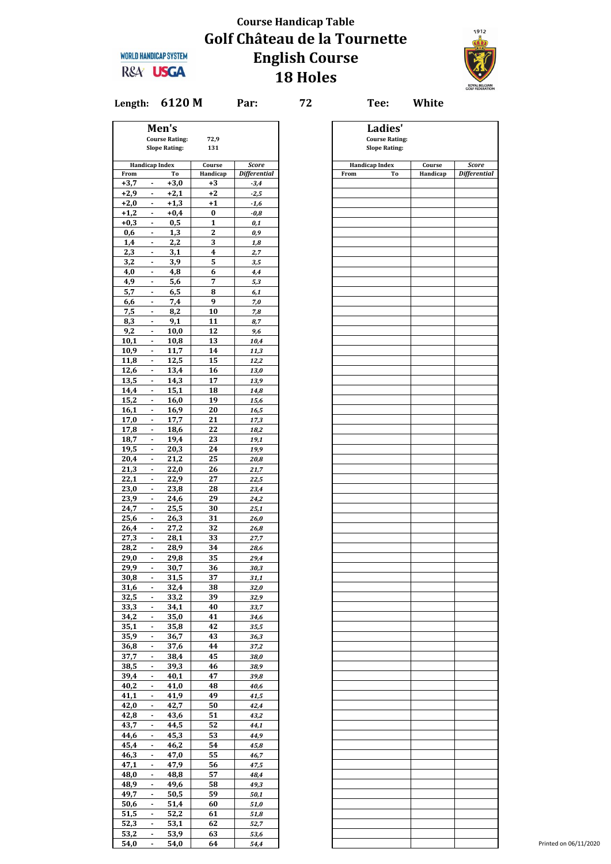

**Length: 6120 M Par: 72 Tee: White**

|        |                             | Men's                 |          |                     |
|--------|-----------------------------|-----------------------|----------|---------------------|
|        |                             | <b>Course Rating:</b> | 72,9     |                     |
|        |                             | <b>Slope Rating:</b>  | 131      |                     |
|        |                             | <b>Handicap Index</b> | Course   | <b>Score</b>        |
| From   |                             | To                    | Handicap | <b>Differential</b> |
| $+3,7$ | $\blacksquare$              | $+3,0$                | +3       | $-3,4$              |
| $+2,9$ |                             | $+2,1$                | $+2$     | -2,5                |
| $+2,0$ | $\blacksquare$              | $+1,3$                | +1       | $-1,6$              |
| $+1,2$ | ٠                           | $+0,4$                | 0        | $-0,8$              |
|        | $\blacksquare$              | 0,5                   | 1        |                     |
| $+0,3$ |                             |                       |          | 0,1                 |
| 0,6    | $\blacksquare$              | 1,3                   | 2        | 0,9                 |
| 1,4    | $\overline{\phantom{a}}$    | 2,2                   | 3        | 1,8                 |
| 2,3    | $\blacksquare$              | 3,1                   | 4        | 2,7                 |
| 3,2    | ٠                           | 3,9                   | 5        | 3,5                 |
| 4,0    | $\blacksquare$              | 4,8                   | 6        | 4,4                 |
| 4,9    | $\blacksquare$              | 5,6                   | 7        | 5,3                 |
|        |                             |                       |          |                     |
| 5,7    | $\overline{\phantom{a}}$    | 6,5                   | 8        | 6,1                 |
| 6,6    | ٠                           | 7,4                   | 9        | 7,0                 |
| 7,5    | ٠                           | 8,2                   | 10       | 7,8                 |
| 8,3    | $\mathcal{L}_{\mathcal{A}}$ | 9,1                   | 11       | 8,7                 |
| 9,2    | $\blacksquare$              | 10,0                  | 12       | 9,6                 |
| 10,1   | $\overline{\phantom{a}}$    | 10,8                  | 13       | 10,4                |
| 10,9   |                             | 11,7                  | 14       |                     |
|        | $\blacksquare$              |                       |          | 11,3                |
| 11,8   | ٠                           | 12,5                  | 15       | 12,2                |
| 12,6   | ÷.                          | 13,4                  | 16       | 13,0                |
| 13,5   | $\blacksquare$              | 14,3                  | 17       | 13,9                |
| 14,4   | $\overline{\phantom{a}}$    | 15,1                  | 18       | 14,8                |
| 15,2   | $\blacksquare$              | 16,0                  | 19       | 15,6                |
| 16,1   | ٠                           | 16,9                  | 20       | 16,5                |
|        | ÷.                          |                       |          |                     |
| 17,0   |                             | 17,7                  | 21       | 17,3                |
| 17,8   | $\blacksquare$              | 18,6                  | 22       | 18,2                |
| 18,7   | $\overline{\phantom{a}}$    | 19,4                  | 23       | 19,1                |
| 19,5   | $\blacksquare$              | 20,3                  | 24       | 19,9                |
| 20,4   | ٠                           | 21,2                  | 25       | 20,8                |
| 21,3   | $\blacksquare$              | 22,0                  | 26       | 21,7                |
|        | $\blacksquare$              |                       | 27       |                     |
| 22,1   |                             | 22,9                  |          | 22,5                |
| 23,0   | $\overline{\phantom{a}}$    | 23,8                  | 28       | 23,4                |
| 23,9   | $\overline{\phantom{a}}$    | 24,6                  | 29       | 24,2                |
| 24,7   | ٠                           | 25,5                  | 30       | 25,1                |
| 25,6   | $\blacksquare$              | 26,3                  | 31       | 26,0                |
| 26,4   | $\blacksquare$              | 27,2                  | 32       | 26,8                |
| 27,3   | $\overline{\phantom{a}}$    | 28,1                  | 33       |                     |
|        |                             |                       |          | 27,7                |
| 28,2   | $\blacksquare$              | 28,9                  | 34       | 28,6                |
| 29,0   | ٠                           | 29,8                  | 35       | 29,4                |
| 29,9   | $\blacksquare$              | 30,7                  | 36       | 30,3                |
| 30,8   | $\overline{\phantom{a}}$    | 31,5                  | 37       | 31,1                |
| 31,6   | $\blacksquare$              | 32,4                  | 38       | 32,0                |
| 32,5   |                             |                       |          |                     |
|        | $\blacksquare$              | 33,2                  | 39       | 32,9                |
| 33,3   | ٠                           | 34,1                  | 40       | 33,7                |
| 34,2   | $\mathbb{Z}^{\times}$       | 35,0                  | 41       | 34,6                |
| 35,1   | $\blacksquare$              | 35,8                  | 42       | 35,5                |
| 35,9   | $\overline{\phantom{a}}$    | 36,7                  | 43       | 36,3                |
| 36,8   | $\blacksquare$              | 37,6                  | 44       | 37,2                |
|        |                             |                       |          |                     |
| 37,7   | ٠                           | 38,4                  | 45       | 38,0                |
| 38,5   | $\blacksquare$              | 39,3                  | 46       | 38,9                |
| 39,4   | $\blacksquare$              | 40,1                  | 47       | 39,8                |
| 40,2   | ٠                           | 41,0                  | 48       | 40,6                |
| 41,1   | $\blacksquare$              | 41,9                  | 49       | 41,5                |
|        |                             |                       |          |                     |
| 42,0   | ٠                           | 42,7                  | 50       | 42,4                |
| 42,8   | $\mathbb{Z}^{\times}$       | 43,6                  | 51       | 43,2                |
| 43,7   | $\blacksquare$              | 44,5                  | 52       | 44,1                |
| 44,6   | ٠                           | 45,3                  | 53       | 44,9                |
| 45,4   | $\blacksquare$              | 46,2                  | 54       | 45,8                |
|        |                             |                       |          |                     |
| 46,3   | ٠                           | 47,0                  | 55       | 46,7                |
| 47,1   | $\mathbb{Z}^{\times}$       | 47,9                  | 56       | 47,5                |
| 48,0   | $\blacksquare$              | 48,8                  | 57       | 48,4                |
| 48,9   | $\overline{\phantom{a}}$    | 49,6                  | 58       | 49,3                |
|        |                             | 50,5                  | 59       |                     |
| 49,7   | $\blacksquare$              |                       |          | 50,1                |
| 50,6   | ٠                           | 51,4                  | 60       | $51,0$              |
| 51,5   | $\mathcal{L}_{\mathcal{A}}$ | 52,2                  | 61       | 51,8                |
| 52,3   | $\blacksquare$              | 53,1                  | 62       | 52,7                |
| 53,2   | ٠                           | 53,9                  | 63       | 53,6                |
|        | $\blacksquare$              | 54,0                  | 64       |                     |
| 54,0   |                             |                       |          | 54,4                |

|             | Men's<br><b>Course Rating:</b><br><b>Slope Rating:</b> | 72,9<br>131             |              |
|-------------|--------------------------------------------------------|-------------------------|--------------|
|             | <b>Handicap Index</b>                                  | Course                  | <b>Score</b> |
| From        | To                                                     | Handicap                | Differential |
| +3,7        | $\overline{\phantom{a}}$<br>$+3,0$                     | +3                      | $-3,4$       |
| +2,9        | $+2,1$<br>٠                                            | $+2$                    | $-2,5$       |
| +2,0        | $+1,3$<br>$\blacksquare$                               | $+1$                    | $-1,6$       |
| +1,2        | $+0,4$<br>$\blacksquare$                               | 0                       | $-0,8$       |
|             |                                                        |                         |              |
| +0,3        | 0,5<br>$\overline{\phantom{a}}$                        | 1                       | 0,1          |
| 0,6         | 1,3<br>$\blacksquare$                                  | $\boldsymbol{2}$        | 0,9          |
| 1,4         | 2,2<br>٠                                               | 3                       | 1,8          |
| 2,3         | 3,1<br>$\overline{\phantom{a}}$                        | 4                       | 2,7          |
| 3,2         | 3,9<br>$\blacksquare$                                  | 5                       | 3,5          |
| 4,0         | 4,8<br>$\overline{\phantom{a}}$                        | 6                       | 4,4          |
| 4,9         | $\blacksquare$<br>5,6                                  | $\overline{\mathbf{7}}$ | 5,3          |
| 5,7         | 6,5<br>٠                                               | 8                       | 6,1          |
|             |                                                        |                         |              |
| 6,6         | 7,4<br>$\blacksquare$                                  | 9                       | 7,0          |
| 7,5         | $\overline{\phantom{a}}$<br>8,2                        | 10                      | 7,8          |
| 8,3         | 9,1<br>٠                                               | 11                      | 8,7          |
| 9,2         | $\blacksquare$<br>10,0                                 | 12                      | 9,6          |
| 10,1        | 10,8<br>٠                                              | 13                      | 10,4         |
| 10,9        | 11,7<br>$\blacksquare$                                 | 14                      | 11,3         |
| 11,8        | 12,5<br>$\blacksquare$                                 | 15                      | 12,2         |
|             |                                                        |                         |              |
| 12,6        | 13,4<br>٠                                              | 16                      | 13,0         |
| 13,5        | $\blacksquare$<br>14,3                                 | 17                      | 13,9         |
| 14,4        | 15,1<br>٠                                              | 18                      | 14,8         |
| 15,2        | 16,0<br>$\blacksquare$                                 | 19                      | 15,6         |
| 16,1        | 16,9<br>$\blacksquare$                                 | 20                      | 16,5         |
| 17,0        | 17,7<br>٠                                              | 21                      | 17,3         |
| 17,8        | $\blacksquare$<br>18,6                                 | 22                      | 18,2         |
|             |                                                        |                         |              |
| 18,7        | 19,4<br>٠                                              | 23                      | 19,1         |
| 19,5        | 20,3<br>$\blacksquare$                                 | 24                      | 19,9         |
| 20,4        | 21,2<br>$\blacksquare$                                 | 25                      | 20,8         |
| 21,3        | 22,0<br>٠                                              | 26                      | 21,7         |
| 22,1        | 22,9<br>$\blacksquare$                                 | 27                      | 22,5         |
| 23,0        | 23,8<br>٠                                              | 28                      | 23,4         |
| 23,9        | $\blacksquare$                                         |                         |              |
|             | 24,6                                                   | 29                      | 24,2         |
| 24,7        | 25,5<br>٠                                              | 30                      | 25,1         |
| 25,6        | 26,3<br>٠                                              | 31                      | 26,0         |
| 26,4        | 27,2<br>$\blacksquare$                                 | 32                      | 26,8         |
| 27,3        | 28,1<br>٠                                              | 33                      | 27,7         |
| 28,2        | 28,9<br>٠                                              | 34                      | 28,6         |
| 29,0        | 29,8<br>$\blacksquare$                                 | 35                      | 29,4         |
|             |                                                        |                         |              |
| 29,9        | 30,7<br>$\blacksquare$                                 | 36                      | 30,3         |
| <u>30,8</u> | 31,5                                                   | 37                      | 31,1         |
| 31,6        | 32,4<br>$\sim$                                         | 38                      | 32,0         |
| 32,5        | 33,2<br>$\overline{\phantom{a}}$                       | 39                      | 32,9         |
| 33,3        | 34,1<br>$\sim$                                         | 40                      | 33,7         |
| 34,2        | 35,0<br>٠                                              | 41                      | 34,6         |
|             |                                                        |                         |              |
| 35,1        | 35,8<br>$\blacksquare$                                 | 42                      | 35,5         |
| 35,9        | 36,7<br>٠                                              | 43                      | 36,3         |
| 36,8        | 37,6<br>$\overline{\phantom{a}}$                       | 44                      | 37,2         |
| 37,7        | 38,4<br>٠                                              | 45                      | 38,0         |
| 38,5        | 39,3<br>٠                                              | 46                      | 38,9         |
| 39,4        | 40,1<br>$\blacksquare$                                 | 47                      | 39,8         |
| 40,2        | 41,0<br>٠                                              | 48                      | 40,6         |
|             | $\blacksquare$                                         | 49                      |              |
| 41,1        | 41,9                                                   |                         | 41,5         |
| 42,0        | 42,7<br>$\sim$                                         | 50                      | 42,4         |
| 42,8        | 43,6<br>٠                                              | 51                      | 43,2         |
| 43,7        | 44,5<br>$\blacksquare$                                 | 52                      | 44,1         |
| 44,6        | 45,3<br>٠                                              | 53                      | 44,9         |
| 45,4        | 46,2<br>$\blacksquare$                                 | 54                      | 45,8         |
| 46,3        | 47,0<br>٠                                              | 55                      | 46,7         |
|             |                                                        |                         |              |
| 47,1        | 47,9<br>٠                                              | 56                      | 47,5         |
| 48,0        | 48,8<br>٠                                              | 57                      | 48,4         |
| 48,9        | 49,6<br>٠                                              | 58                      | 49,3         |
| 49,7        | 50,5<br>$\blacksquare$                                 | 59                      | 50,1         |
| 50,6        | 51,4<br>٠                                              | 60                      | 51,0         |
| 51,5        | 52,2<br>٠                                              | 61                      | 51,8         |
|             |                                                        |                         |              |
| 52,3        | 53,1<br>$\blacksquare$                                 | 62                      | 52,7         |
| 53,2        | 53,9<br>$\sim$                                         | 63                      | 53,6         |
| 54,0        | 54,0<br>$\blacksquare$                                 | 64                      | 54,4         |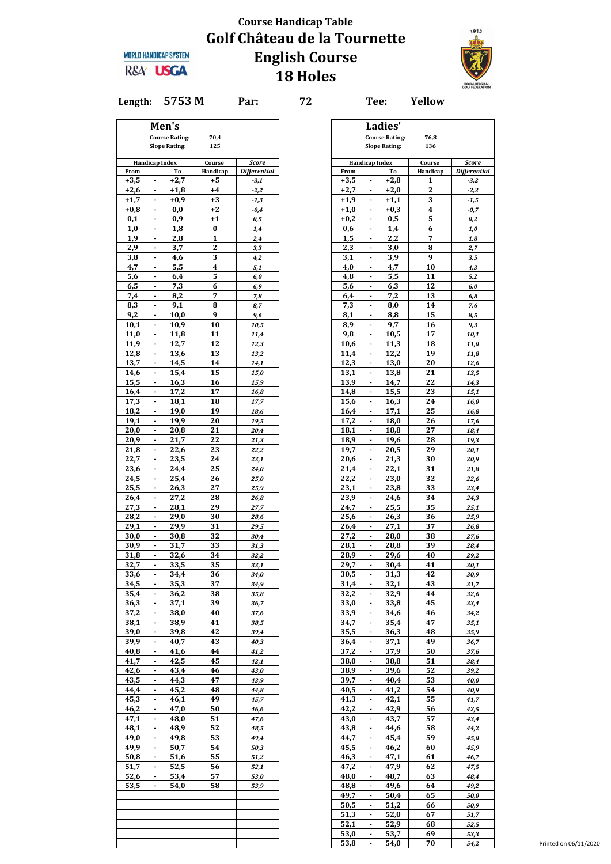

**Length: 5753 M Par: 72 Tee: Yellow**

|                                    |                       |          |                     | Ladies'                                                |                 |
|------------------------------------|-----------------------|----------|---------------------|--------------------------------------------------------|-----------------|
| Men's                              |                       |          |                     |                                                        |                 |
|                                    | <b>Course Rating:</b> | 70,4     |                     | <b>Course Rating:</b><br>76,8                          |                 |
|                                    | <b>Slope Rating:</b>  | 125      |                     | 136<br><b>Slope Rating:</b>                            |                 |
|                                    |                       |          |                     |                                                        |                 |
| <b>Handicap Index</b>              |                       | Course   | Score               | <b>Handicap Index</b><br>Course                        |                 |
| From                               | To                    | Handicap | <b>Differential</b> | Handicap<br>From<br>To                                 | <b>Differer</b> |
| $+3,5$<br>$\overline{\phantom{a}}$ | $+2,7$                | $+5$     | $-3,1$              | $+2,8$<br>$+3,5$<br>1<br>$\overline{a}$                |                 |
| $+2,6$<br>$\overline{\phantom{a}}$ | $+1,8$                | $+4$     | $-2,2$              | $\boldsymbol{2}$<br>$+2,7$<br>$+2,0$<br>$\blacksquare$ |                 |
| $+1,7$                             | +0,9                  | $+3$     | $-1,3$              | 3<br>$+1,1$<br>+1,9                                    |                 |
| $+0,8$<br>٠                        | 0,0                   | $+2$     | $-0,4$              | 4<br>$+1,0$<br>$+0,3$<br>$\blacksquare$                |                 |
| 0,1<br>٠                           | 0,9                   | $+1$     | 0,5                 | 5<br>$+0,2$<br>0,5<br>۰                                |                 |
| 1,0<br>$\blacksquare$              | 1,8                   | 0        | 1,4                 | 6<br>0,6<br>$\blacksquare$<br>1,4                      |                 |
|                                    |                       |          |                     |                                                        |                 |
| 1,9<br>٠                           | 2,8                   | 1        | 2,4                 | 2,2<br>7<br>1,5<br>٠                                   |                 |
| 2,9<br>$\blacksquare$              | 3,7                   | 2        | 3,3                 | 8<br>2,3<br>$\blacksquare$<br>3,0                      |                 |
| 3,8<br>$\overline{\phantom{a}}$    | 4,6                   | 3        | 4,2                 | 9<br>3,1<br>3,9<br>$\overline{\phantom{a}}$            |                 |
| 4,7                                | 5,5                   | 4        | 5,1                 | 4,7<br>10<br>4,0<br>ä,                                 |                 |
| 5,6<br>$\overline{\phantom{a}}$    | 6,4                   | 5        | 6,0                 | 5,5<br>11<br>4,8<br>$\blacksquare$                     |                 |
| 6,5<br>٠                           | 7,3                   | 6        | 6,9                 | 12<br>5,6<br>6,3<br>٠                                  |                 |
| 7,4<br>٠                           | 8,2                   | 7        | 7,8                 | 7,2<br>13<br>6,4<br>$\blacksquare$                     |                 |
| 8,3<br>٠                           | 9,1                   | 8        | 8,7                 | 8,0<br>14<br>7,3<br>۰                                  |                 |
| $\blacksquare$                     |                       | 9        |                     | $\blacksquare$                                         |                 |
| 9,2                                | 10,0                  |          | 9,6                 | 15<br>8,1<br>8,8                                       |                 |
| 10,1<br>٠                          | 10,9                  | 10       | 10,5                | 9,7<br>8,9<br>٠<br>16                                  |                 |
| 11,0<br>$\blacksquare$             | 11,8                  | 11       | 11,4                | 9,8<br>$\blacksquare$<br>10,5<br>17                    |                 |
| 11,9<br>$\overline{\phantom{a}}$   | 12,7                  | 12       | 12,3                | 10,6<br>11,3<br>18<br>$\overline{\phantom{a}}$         |                 |
| 12,8                               | 13,6                  | 13       | 13,2                | 12,2<br>19<br>11,4<br>$\blacksquare$                   |                 |
| 13,7<br>٠                          | 14,5                  | 14       | 14,1                | 12,3<br>13,0<br>20<br>$\overline{\phantom{a}}$         |                 |
| 14,6<br>$\blacksquare$             | 15,4                  | 15       | 15,0                | 13,1<br>13,8<br>21<br>٠                                |                 |
| 15,5<br>$\blacksquare$             | 16,3                  | 16       | 15,9                | 14,7<br>22<br>13.9<br>$\blacksquare$                   |                 |
| 16,4<br>$\blacksquare$             | 17,2                  | 17       | 16,8                | 15,5<br>23<br>14,8<br>$\blacksquare$                   |                 |
| ä,                                 |                       | 18       |                     | ÷.<br>24                                               |                 |
| 17,3                               | 18,1                  |          | 17,7                | 15,6<br>16,3                                           |                 |
| 18,2<br>$\blacksquare$             | 19,0                  | 19       | 18,6                | 17,1<br>25<br>16,4<br>$\blacksquare$                   |                 |
| 19,1<br>$\overline{\phantom{a}}$   | 19,9                  | 20       | 19,5                | 26<br>17,2<br>$\blacksquare$<br>18,0                   |                 |
| 20,0<br>$\overline{\phantom{a}}$   | 20,8                  | 21       | 20,4                | 18,8<br>27<br>18,1<br>$\blacksquare$                   |                 |
| 20,9                               | 21,7                  | 22       | 21,3                | 19,6<br>28<br>18,9                                     |                 |
| 21,8<br>٠                          | 22,6                  | 23       | 22,2                | 19,7<br>20,5<br>29<br>$\overline{\phantom{a}}$         |                 |
| 22,7<br>$\overline{\phantom{a}}$   | 23,5                  | 24       | 23,1                | 20,6<br>21,3<br>30<br>٠                                |                 |
| 23,6<br>$\blacksquare$             | 24,4                  | 25       | 24,0                | 31<br>$\blacksquare$<br>22,1<br>21,4                   |                 |
| 24,5<br>٠                          | 25,4                  | 26       | 25,0                | 22,2<br>23,0<br>32<br>٠                                |                 |
| $\blacksquare$                     |                       |          |                     | $\blacksquare$                                         |                 |
| 25,5                               | 26,3                  | 27       | 25,9                | 33<br>23,8<br>23,1                                     |                 |
| 26,4<br>$\overline{\phantom{a}}$   | 27,2                  | 28       | 26,8                | 23,9<br>24,6<br>34<br>$\overline{\phantom{a}}$         |                 |
| 27,3                               | 28,1                  | 29       | 27,7                | 35<br>24,7<br>25,5<br>$\blacksquare$                   |                 |
| 28,2<br>٠                          | 29,0                  | 30       | 28,6                | 25,6<br>26,3<br>36<br>$\overline{\phantom{a}}$         |                 |
| 29,1<br>٠                          | 29,9                  | 31       | 29,5                | 26,4<br>27,1<br>37<br>٠                                |                 |
| 30,0<br>$\blacksquare$             | 30,8                  | 32       | 30,4                | 38<br>27,2<br>28,0<br>$\blacksquare$                   |                 |
| 30,9<br>$\blacksquare$             | 31,7                  | 33       | 31,3                | 28,1<br>39<br>28,8<br>$\overline{\phantom{a}}$         |                 |
| $\mathbf{r}$<br>31,8               | 32,6                  | 34       | 32,2                | $\blacksquare$<br>40<br>29,6<br>28,9                   |                 |
| $\blacksquare$                     | 33,5                  |          |                     | $\blacksquare$                                         |                 |
| 32,7                               |                       | 35       | 33,1                | 29,7<br>30,4<br>41                                     |                 |
| 33,6                               | 34,4                  | 36       | 34,0                | 42<br>30,5<br>31,3                                     |                 |
| 34,5<br>$\sim$                     | 35,3                  | 37       | 34,9                | 31,4<br>32,1<br>43<br>$\sim$                           |                 |
| 35,4                               | 36,2                  | 38       | 35,8                | 32,9<br>32,2<br>44<br>$\blacksquare$                   |                 |
| 36,3<br>$\sim$                     | 37,1                  | 39       | 36,7                | 33,0<br>33,8<br>45<br>$\blacksquare$                   |                 |
| 37,2<br>٠.                         | 38,0                  | 40       | 37,6                | 33,9<br>34,6<br>46                                     |                 |
| 38.1<br>$\sim$                     | 38,9                  | 41       | 38,5                | 47<br>34.7<br>35,4<br>$\sim$                           |                 |
| 39,0<br>$\blacksquare$             | 39,8                  | 42       | 39,4                | 35,5<br>48<br>36,3<br>$\sim$                           |                 |
| 39,9<br>$\overline{\phantom{a}}$   | 40,7                  | 43       | 40,3                | 49<br>36,4<br>37,1<br>$\blacksquare$                   |                 |
| 40,8<br>$\sim$                     | 41,6                  | 44       | 41,2                | 37,2<br>37,9<br>50<br>$\sim$                           |                 |
| 41,7<br>$\sim$                     | 42,5                  | 45       | 42,1                | 51<br>38,0<br>38,8<br>$\sim$                           |                 |
|                                    |                       |          |                     |                                                        |                 |
| 42,6<br>$\overline{\phantom{a}}$   | 43,4                  | 46       | 43,0                | 39,6<br>52<br>38,9<br>٠                                |                 |
| 43,5                               | 44,3                  | 47       | 43,9                | 53<br>39,7<br>40,4<br>$\blacksquare$                   |                 |
| 44,4<br>$\blacksquare$             | 45,2                  | 48       | 44,8                | 54<br>40,5<br>41,2<br>$\blacksquare$                   |                 |
| 45,3<br>٠                          | 46,1                  | 49       | 45,7                | 55<br>41,3<br>42,1                                     |                 |
| 46,2<br>$\sim$                     | 47,0                  | 50       | 46,6                | 42,9<br>56<br>42,2<br>$\sim$                           |                 |
| 47,1                               | 48,0                  | 51       | 47,6                | 43,0<br>43,7<br>57<br>$\blacksquare$                   |                 |
| 48,1<br>$\sim$                     | 48,9                  | 52       | 48,5                | 43,8<br>44,6<br>58<br>$\sim$                           |                 |
| 49,0<br>$\overline{\phantom{a}}$   | 49,8                  | 53       | 49,4                | 59<br>44,7<br>45,4<br>$\blacksquare$                   |                 |
|                                    |                       |          |                     |                                                        |                 |
| 49,9                               | 50,7                  | 54       | 50,3                | 45,5<br>46,2<br>60<br>$\blacksquare$                   |                 |
| 50,8<br>$\sim$                     | 51,6                  | 55       | 51,2                | 47,1<br>46,3<br>61<br>$\blacksquare$                   |                 |
| 51,7<br>٠                          | 52,5                  | 56       | 52,1                | 62<br>47,2<br>47,9                                     |                 |
| 52,6<br>$\sim$                     | 53,4                  | 57       | 53,0                | 48,7<br>63<br>48,0<br>$\sim$                           |                 |
| 53,5<br>$\sim$                     | 54,0                  | 58       | 53,9                | 49,6<br>48,8<br>64<br>$\sim$                           |                 |
|                                    |                       |          |                     | 49,7<br>65<br>50,4<br>$\blacksquare$                   |                 |
|                                    |                       |          |                     | 50,5<br>51,2<br>66<br>$\sim$                           |                 |
|                                    |                       |          |                     | 51,3<br>52,0<br>67<br>$\sim$                           |                 |
|                                    |                       |          |                     | 52,1<br>52,9<br>68<br>$\blacksquare$                   |                 |
|                                    |                       |          |                     |                                                        |                 |
|                                    |                       |          |                     | 53,0<br>53,7<br>69<br>$\blacksquare$                   |                 |
|                                    |                       |          |                     | 70<br>53.8<br>54.0<br>$\blacksquare$                   |                 |

|             | Men's                            |          |                     | Ladies'                                            |                     |
|-------------|----------------------------------|----------|---------------------|----------------------------------------------------|---------------------|
|             | <b>Course Rating:</b>            | 70,4     |                     | <b>Course Rating:</b><br>76,8                      |                     |
|             | <b>Slope Rating:</b>             | 125      |                     | 136<br><b>Slope Rating:</b>                        |                     |
|             |                                  |          |                     |                                                    |                     |
|             | <b>Handicap Index</b>            | Course   | <b>Score</b>        | <b>Handicap Index</b><br>Course                    | Score               |
| From        | To                               | Handicap | <b>Differential</b> | From<br>To<br>Handicap                             | <b>Differential</b> |
|             |                                  |          |                     |                                                    |                     |
| +3,5        | +2,7<br>٠                        | +5       | $-3,1$              | $+3,5$<br>+2,8<br>1                                | $-3,2$              |
| +2,6        | +1,8<br>٠                        | $+4$     | $-2,2$              | 2<br>+2,7<br>+2,0                                  | -2,3                |
| +1,7        | +0,9<br>۰                        | $+3$     | $-1,3$              | 3<br>+1,9<br>+1,1<br>$\blacksquare$                | $-1,5$              |
| +0,8        | 0,0<br>٠                         | $^{+2}$  | -0,4                | 4<br>$+1,0$<br>+0,3<br>٠                           | -0,7                |
|             | ٠                                |          |                     | 5<br>$+0,2$<br>$\overline{\phantom{a}}$            |                     |
| 0,1         | 0,9                              | $+1$     | 0,5                 | 0,5                                                | 0,2                 |
| 1,0         | ٠<br>1,8                         | 0        | 1,4                 | 6<br>0,6<br>$\blacksquare$<br>1,4                  | 1,0                 |
| 1,9         | ä,<br>2,8                        | 1        | 2,4                 | 7<br>1,5<br>2,2<br>ä,                              | 1,8                 |
| 2,9         | 3,7<br>٠                         | 2        | 3,3                 | 2,3<br>3,0<br>8<br>$\blacksquare$                  | 2,7                 |
| 3,8         | 4,6<br>$\blacksquare$            | 3        | 4,2                 | 9<br>3,9<br>3,1<br>$\blacksquare$                  | 3,5                 |
|             |                                  |          |                     |                                                    |                     |
| 4,7         | 5,5<br>٠                         | 4        | 5,1                 | 4,7<br>4,0<br>10<br>$\overline{\phantom{a}}$       | 4,3                 |
| 5,6         | ٠<br>6,4                         | 5        | 6,0                 | 4,8<br>5,5<br>11<br>$\blacksquare$                 | 5,2                 |
| 6,5         | 7,3<br>۰                         | 6        | 6,9                 | 12<br>5,6<br>6,3<br>$\overline{\phantom{a}}$       | 6,0                 |
| 7,4         | 8,2<br>٠                         | 7        | 7,8                 | 7,2<br>13<br>6,4<br>٠                              | 6,8                 |
| 8,3         | 9,1<br>٠                         | 8        | 8,7                 | 7,3<br>14<br>8,0<br>$\overline{\phantom{a}}$       | 7,6                 |
|             |                                  |          |                     |                                                    |                     |
| 9,2         | ٠<br>10,0                        | 9        | 9,6                 | 15<br>8,1<br>$\blacksquare$<br>8,8                 | 8,5                 |
| 10,1        | ä,<br>10,9                       | 10       | 10,5                | 8,9<br>9,7<br>ä,<br>16                             | 9,3                 |
| 11,0        | 11,8<br>$\blacksquare$           | 11       | 11,4                | 9,8<br>10,5<br>17<br>$\overline{\phantom{a}}$      | 10,1                |
| 11,9        | 12,7<br>٠                        | 12       | 12,3                | 18<br>10,6<br>11,3<br>$\blacksquare$               | 11,0                |
| 12,8        |                                  | 13       |                     | 19<br>12,2                                         |                     |
|             | 13,6<br>۰                        |          | 13,2                | 11,4<br>$\overline{\phantom{a}}$                   | 11,8                |
| 13,7        | 14,5<br>٠                        | 14       | 14,1                | 20<br>12,3<br>13,0                                 | 12,6                |
| 14,6        | 15,4<br>٠                        | 15       | 15,0                | 13,1<br>13,8<br>21<br>$\overline{\phantom{a}}$     | 13,5                |
| 15,5        | 16,3<br>٠                        | 16       | 15,9                | 13,9<br>22<br>14,7<br>$\blacksquare$               | 14,3                |
| 16,4        | $\blacksquare$<br>17,2           | 17       | 16,8                | 23<br>$\overline{\phantom{a}}$<br>15,5<br>14,8     | 15,1                |
|             |                                  |          |                     |                                                    |                     |
| 17,3        | 18,1<br>٠                        | 18       | 17,7                | 15,6<br>16,3<br>24                                 | 16,0                |
| 18,2        | $\overline{\phantom{a}}$<br>19,0 | 19       | 18,6                | 16,4<br>17,1<br>25<br>$\blacksquare$               | 16,8                |
| 19,1        | 19,9<br>۰                        | 20       | 19,5                | 17,2<br>26<br>18,0<br>$\blacksquare$               | 17,6                |
| 20,0        | 20,8<br>٠                        | 21       | 20,4                | 27<br>18,1<br>18,8<br>$\blacksquare$               | 18,4                |
| 20,9        | 21,7<br>۰                        | 22       |                     | 28<br>18,9<br>19,6<br>$\overline{\phantom{a}}$     |                     |
|             |                                  |          | 21,3                |                                                    | 19,3                |
| 21,8        | 22,6<br>٠                        | 23       | 22,2                | 19,7<br>29<br>20,5<br>٠                            | 20,1                |
| 22,7        | 23,5<br>٠                        | 24       | 23,1                | 30<br>20,6<br>21,3<br>$\overline{\phantom{a}}$     | 20,9                |
| 23,6        | ٠<br>24,4                        | 25       | 24,0                | 21,4<br>22,1<br>31<br>$\blacksquare$               | 21,8                |
| 24,5        | 25,4<br>ä,                       | 26       | 25,0                | 22,2<br>32<br>ä,<br>23,0                           | 22,6                |
|             | $\blacksquare$                   |          |                     | $\blacksquare$                                     |                     |
| 25,5        | 26,3                             | 27       | 25,9                | 23,1<br>23,8<br>33                                 | 23,4                |
| 26,4        | 27,2<br>٠                        | 28       | 26,8                | 23,9<br>34<br>24,6<br>$\blacksquare$               | 24,3                |
| 27,3        | 28,1<br>$\overline{\phantom{a}}$ | 29       | 27,7                | 24,7<br>25,5<br>35<br>$\overline{\phantom{a}}$     | 25,1                |
| 28,2        | 29,0<br>٠                        | 30       | 28,6                | 25,6<br>36<br>26,3<br>٠                            | 25,9                |
| 29,1        | 29,9<br>٠                        | 31       | 29,5                | 37<br>26,4<br>27,1<br>$\overline{\phantom{a}}$     | 26,8                |
|             | ٠                                | 32       |                     | 27,2<br>38<br>$\blacksquare$                       |                     |
| <u>30,0</u> | 30,8                             |          | 30,4                | 28,0                                               | <u>27,6</u>         |
| 30,9        | 31,7<br>٠                        | 33       | 31,3                | 39<br>28,1<br>28,8<br>$\overline{\phantom{a}}$     | 28,4                |
| <u>31,8</u> | ٠<br>32,6                        | 34       | 32,2                | 28,9<br>29,6<br>40<br>ä,                           | 29,2                |
| 32,7        | $\blacksquare$<br>33,5           | 35       | 33,1                | 29,7<br>41<br>ä,<br>30,4                           | 30,1                |
| 33,6        | 34,4<br>٠                        | 36       | 34,0                | 42<br><u>30,5</u><br><u>31,3</u><br>$\overline{a}$ | 30,9                |
| 34,5        |                                  | 37       |                     | 31,4<br>43                                         |                     |
|             | 35,3                             |          | 34,9                | 32,1                                               | 31,7                |
| 35,4        | 36,2<br>٠                        | 38       | 35,8                | 32,2<br>32,9<br>44<br>$\overline{\phantom{a}}$     | 32,6                |
| 36,3        | 37,1<br>٠                        | 39       | 36,7                | 33,0<br>45<br>33,8                                 | 33,4                |
| 37,2        | 38,0<br>٠                        | 40       | 37,6                | 33,9<br>34,6<br>46<br>$\blacksquare$               | 34,2                |
| 38,1        | 38,9<br>٠                        | 41       | 38,5                | 34,7<br>35,4<br>47<br>$\blacksquare$               | 35,1                |
| 39,0        | $\overline{\phantom{a}}$<br>39,8 | 42       | 39,4                | 35,5<br>36,3<br>48<br>$\overline{\phantom{a}}$     | 35,9                |
|             |                                  |          |                     |                                                    |                     |
| 39,9        | 40,7<br>٠                        | 43       | 40,3                | 36,4<br>37,1<br>49<br>$\overline{a}$               | 36,7                |
| 40,8        | 41,6<br>$\blacksquare$           | 44       | 41,2                | 37,2<br>37,9<br>50<br>$\blacksquare$               | 37,6                |
| 41,7        | 42,5<br>٠                        | 45       | 42,1                | 38,0<br>38,8<br>51<br>$\overline{\phantom{a}}$     | 38,4                |
| 42,6        | 43,4<br>٠                        | 46       | 43,0                | 52<br>38,9<br>39,6                                 | 39,2                |
| 43,5        | 44,3<br>۰                        | 47       | 43,9                | 39,7<br>53<br>40,4<br>۰                            | 40,0                |
|             |                                  |          |                     |                                                    |                     |
| 44,4        | 45,2<br>٠                        | 48       | 44,8                | 54<br>40,5<br>41,2<br>$\blacksquare$               | 40,9                |
| 45,3        | 46,1<br>٠                        | 49       | 45,7                | 41,3<br>42,1<br>55<br>$\blacksquare$               | 41,7                |
| 46,2        | $\overline{\phantom{a}}$<br>47,0 | 50       | 46,6                | 42,2<br>42,9<br>56<br>$\overline{\phantom{a}}$     | 42,5                |
| 47,1        | 48,0<br>٠                        | 51       | 47,6                | 57<br>43,0<br>43,7<br>$\blacksquare$               | 43,4                |
|             | ٠                                |          |                     |                                                    |                     |
| 48,1        | 48,9                             | 52       | 48,5                | 43,8<br>58<br>44,6<br>$\blacksquare$               | 44,2                |
| 49,0        | 49,8<br>٠                        | 53       | 49,4                | 44,7<br>59<br>45,4<br>$\blacksquare$               | 45,0                |
| 49,9        | 50,7<br>٠                        | 54       | 50,3                | 45,5<br>46,2<br>60<br>$\overline{\phantom{a}}$     | 45,9                |
| 50,8        | 51,6<br>٠                        | 55       | 51,2                | 47,1<br>61<br>46,3                                 | 46,7                |
| 51,7        | 52,5<br>٠                        | 56       |                     | 47,2<br>47,9<br>62<br>$\blacksquare$               |                     |
|             |                                  |          | 52,1                |                                                    | 47,5                |
| 52,6        | 53,4<br>٠                        | 57       | 53,0                | 48,0<br>48,7<br>63                                 | 48,4                |
| 53,5        | $\blacksquare$<br>54,0           | 58       | 53,9                | 48,8<br>49,6<br>64<br>$\overline{\phantom{a}}$     | 49,2                |
|             |                                  |          |                     | 49,7<br>50,4<br>65                                 | 50,0                |
|             |                                  |          |                     | 50,5<br>51,2<br>66<br>$\blacksquare$               | 50,9                |
|             |                                  |          |                     |                                                    |                     |
|             |                                  |          |                     | 51,3<br>52,0<br>67<br>$\blacksquare$               | 51,7                |
|             |                                  |          |                     | 52,1<br>52,9<br>68                                 | 52,5                |
|             |                                  |          |                     | 53,0<br>53,7<br>69<br>$\blacksquare$               | 53,3                |
|             |                                  |          |                     | 53,8<br>70<br>54,0<br>$\overline{\phantom{a}}$     | 54,2                |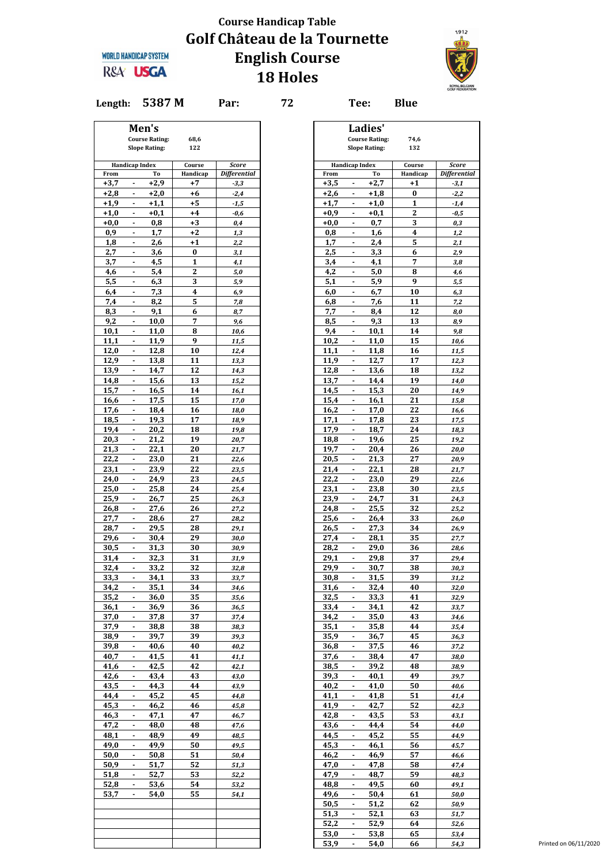

**Length: 5387 M Par: 72 Tee: Blue**

|              |                          | Men's                 |                         |                     |
|--------------|--------------------------|-----------------------|-------------------------|---------------------|
|              |                          | <b>Course Rating:</b> | 68,6                    |                     |
|              |                          | <b>Slope Rating:</b>  | 122                     |                     |
|              | <b>Handicap Index</b>    |                       |                         | Score               |
| From         |                          | To                    | Course<br>Handicap      | <b>Differential</b> |
| $+3,7$       | ٠                        | +2,9                  | +7                      | -3,3                |
| $+2,8$       | $\blacksquare$           | $+2,0$                | +6                      | $-2,4$              |
| $+1,9$       | $\blacksquare$           | $+1,1$                | +5                      | $-1,5$              |
| $+1,0$       | ٠                        | $+0,1$                | +4                      | -0,6                |
| $+0,0$       | ٠                        | 0,8                   | $+3$                    | 0,4                 |
| 0,9          | ä,                       | 1,7                   | +2                      | 1,3                 |
| 1,8          | $\blacksquare$           | 2,6                   | +1                      | 2,2                 |
| 2,7          | $\blacksquare$           | 3,6                   | $\bf{0}$                |                     |
|              | ٠                        |                       | 1                       | 3,1                 |
| 3,7          |                          | 4,5                   |                         | 4,1                 |
| 4,6          | ٠                        | 5,4                   | $\boldsymbol{2}$        | 5,0                 |
| 5,5          | ä,                       | 6,3                   | 3                       | 5,9                 |
| 6,4          | $\blacksquare$           | 7,3                   | $\overline{\mathbf{4}}$ | 6,9                 |
| 7,4          | $\blacksquare$           | 8,2                   | 5                       | 7,8                 |
| 8,3          |                          | 9,1                   | 6                       | 8,7                 |
| 9,2          | $\overline{\phantom{a}}$ | 10,0                  | 7                       | 9,6                 |
| 10,1         | ٠                        | 11,0                  | 8                       | 10,6                |
| 11,1         | $\blacksquare$           | 11.9                  | 9                       | 11,5                |
| 12,0         | ٠                        | 12,8                  | 10                      | 12,4                |
| 12,9         | ٠                        | 13,8                  | 11                      | 13,3                |
| 13,9         | $\overline{\phantom{a}}$ | 14,7                  | 12                      | 14,3                |
| 14,8         | ٠                        | 15,6                  | 13                      | 15,2                |
| 15,7         | $\blacksquare$           | 16,5                  | 14                      | 16,1                |
| 16,6         | ٠                        | 17,5                  | 15                      | 17,0                |
| 17,6         | ٠                        | 18,4                  | 16                      | 18,0                |
| 18,5         | $\overline{\phantom{a}}$ | 19,3                  | 17                      | 18,9                |
| 19,4         | ٠                        | 20,2                  | 18                      | 19,8                |
| 20,3         | $\blacksquare$           | 21,2                  | 19                      | 20,7                |
| 21,3         | ٠                        | 22,1                  | 20                      | 21,7                |
| 22,2         | ٠                        | 23,0                  | 21                      | 22,6                |
| 23,1         | ٠                        | 23,9                  | 22                      | 23,5                |
| 24,0         | ٠                        | 24,9                  | 23                      | 24,5                |
| 25,0         | $\blacksquare$           | 25,8                  | 24                      | 25,4                |
| 25,9         | ٠                        | 26,7                  | 25                      | 26,3                |
| 26,8         | ٠                        | 27,6                  | 26                      | 27,2                |
| 27,7         | ٠                        | 28,6                  | 27                      | 28,2                |
| 28,7         | ٠                        | 29,5                  | 28                      | 29,1                |
| 29,6         | $\blacksquare$           | 30,4                  | 29                      | 30,0                |
| 30,5         | ٠                        | 31,3                  | 30                      | 30,9                |
| 31,4         | ٠                        | 32,3                  | 31                      | 31,9                |
| 32,4         | ä,                       | 33,2                  | 32                      | 32,8                |
|              |                          |                       |                         |                     |
| 33,3         | $\blacksquare$           | 34,1<br>35,1          | 33<br>34                | 33,7                |
| 34,2<br>35,2 |                          | 36,0                  | 35                      | 34,6                |
| 36,1         | ٠<br>٠                   |                       | 36                      | 35,6                |
| 37,0         | ۰                        | 36,9<br>37,8          | 37                      | $36,5$              |
| 37,9         |                          |                       |                         | 37,4                |
| 38,9         | ٠<br>$\blacksquare$      | 38,8<br>39,7          | 38<br>39                | 38,3<br>39,3        |
|              |                          |                       |                         |                     |
| 39,8         | ٠                        | 40,6                  | 40                      | 40,2                |
| 40,7         | ۰                        | 41,5                  | 41                      | 41,1                |
| 41,6         | ۰                        | 42,5                  | 42                      | 42,1                |
| 42,6         | ۰                        | 43,4                  | 43                      | 43,0                |
| 43,5         | $\blacksquare$           | 44,3                  | 44                      | 43,9                |
| 44,4         | ٠                        | 45,2                  | 45                      | 44,8                |
| 45,3         | ٠                        | 46,2                  | 46                      | 45,8                |
| 46,3         | ۰                        | 47,1                  | 47                      | 46,7                |
| 47,2         | ٠                        | 48,0                  | 48                      | 47,6                |
| 48,1         | $\blacksquare$           | 48,9                  | 49                      | 48,5                |
| 49,0         | ٠                        | 49,9                  | 50                      | 49,5                |
| 50,0         | ٠                        | 50,8                  | 51                      | 50,4                |
| 50,9         | ٠                        | 51,7                  | 52                      | 51,3                |
| 51,8         | ۰                        | 52,7                  | 53                      | 52,2                |
| 52,8         | $\blacksquare$           | 53,6                  | 54                      | 53,2                |
| 53,7         | ٠                        | 54,0                  | 55                      | 54,1                |
|              |                          |                       |                         |                     |
|              |                          |                       |                         |                     |
|              |                          |                       |                         |                     |
|              |                          |                       |                         |                     |
|              |                          |                       |                         |                     |
|              |                          |                       |                         |                     |

|      | Men's                           |          |              |
|------|---------------------------------|----------|--------------|
|      | <b>Course Rating:</b>           | 68,6     |              |
|      | <b>Slope Rating:</b>            | 122      |              |
|      | <b>Handicap Index</b>           | Course   | Score        |
| From | To                              | Handicap | Differential |
| +3,7 | $+2,9$<br>۰                     | +7       | -3,3         |
| +2,8 | $+2,0$<br>٠                     | +6       | $-2,4$       |
| +1,9 | $+1,1$<br>٠                     | +5       | -1,5         |
| +1,0 | +0,1<br>٠                       | +4       | -0,6         |
| +0,0 | 0,8<br>٠                        | +3       | 0,4          |
| 0,9  | $\overline{\phantom{a}}$<br>1,7 | +2       | 1,3          |
| 1,8  | 2,6<br>٠                        | +1       | 2,2          |
| 2,7  | 3,6<br>٠                        | 0        | 3,1          |
| 3,7  | 4,5<br>۰                        | 1        |              |
|      |                                 |          | 4,1          |
| 4,6  | 5,4<br>٠                        | 2        | 5,0          |
| 5,5  | $\blacksquare$<br>6,3           | 3        | 5,9          |
| 6,4  | 7,3<br>٠                        | 4        | 6,9          |
| 7,4  | 8,2<br>٠                        | 5        | 7,8          |
| 8,3  | 9,1<br>۰                        | 6        | 8,7          |
| 9,2  | 10,0<br>٠                       | 7        | 9,6          |
| 10,1 | $\blacksquare$<br>11,0          | 8        | 10,6         |
| 11,1 | 11,9<br>٠                       | 9        | 11,5         |
| 12,0 | 12,8<br>٠                       | 10       | 12,4         |
| 12,9 | 13,8<br>۰                       | 11       | 13,3         |
|      |                                 |          |              |
| 13,9 | 14,7<br>٠                       | 12       | 14,3         |
| 14,8 | $\blacksquare$<br>15,6          | 13       | 15,2         |
| 15,7 | 16,5<br>٠                       | 14       | 16,1         |
| 16,6 | 17,5<br>٠                       | 15       | 17,0         |
| 17,6 | 18,4<br>۰                       | 16       | 18,0         |
| 18,5 | 19,3<br>٠                       | 17       | 18,9         |
| 19,4 | $\blacksquare$<br>20,2          | 18       | 19,8         |
| 20,3 | 21,2<br>٠                       | 19       | 20,7         |
| 21,3 | 22,1<br>٠                       | 20       | 21,7         |
| 22,2 | 23,0<br>۰                       | 21       | 22,6         |
|      | ٠                               | 22       |              |
| 23,1 | 23,9                            |          | 23,5         |
| 24,0 | $\blacksquare$<br>24,9          | 23       | 24,5         |
| 25,0 | 25,8<br>٠                       | 24       | 25,4         |
| 25,9 | 26,7<br>٠                       | 25       | 26,3         |
| 26,8 | 27,6<br>۰                       | 26       | 27,2         |
| 27,7 | 28,6<br>٠                       | 27       | 28,2         |
| 28,7 | $\blacksquare$<br>29,5          | 28       | 29,1         |
| 29,6 | 30,4<br>٠                       | 29       | 30,0         |
| 30,5 | 31,3<br>٠                       | 30       | 30,9         |
| 31,4 | 32,3<br>٠                       | 31       | 31,9         |
|      |                                 |          |              |
| 32,4 | 33,2<br>٠                       | 32       | 32,8         |
| 33,3 | ÷.<br>34,1                      | 33       | 33,7         |
| 34,2 | 35,1                            | 34       | 34,6         |
| 35,2 | 36,0                            | 35       | 35,6         |
| 36,1 | 36,9<br>٠                       | 36       | 36,5         |
| 37,0 | 37,8<br>٠                       | 37       | 37,4         |
| 37,9 | $\blacksquare$<br>38,8          | 38       | 38,3         |
| 38,9 | 39,7<br>٠                       | 39       | 39,3         |
| 39,8 | 40,6                            | 40       | 40,2         |
| 40,7 | 41,5<br>٠                       | 41       | 41,1         |
|      | ٠                               | 42       |              |
| 41,6 | 42,5                            |          | 42,1         |
| 42,6 | $\blacksquare$<br>43,4          | 43       | 43,0         |
| 43,5 | 44,3<br>٠                       | 44       | 43,9         |
| 44,4 | 45,2                            | 45       | 44,8         |
| 45,3 | 46,2<br>٠                       | 46       | 45,8         |
| 46,3 | 47,1<br>٠                       | 47       | 46,7         |
| 47,2 | $\blacksquare$<br>48,0          | 48       | 47,6         |
| 48,1 | 48,9<br>٠                       | 49       | 48,5         |
| 49,0 | 49,9                            | 50       | 49,5         |
|      |                                 |          |              |
| 50,0 | 50,8<br>٠                       | 51       | 50,4         |
| 50,9 | 51,7<br>٠                       | 52       | 51,3         |
| 51,8 | $\blacksquare$<br>52,7          | 53       | 52,2         |
| 52,8 | 53,6<br>٠                       | 54       | 53,2         |
| 53,7 | 54,0                            | 55       | 54,1         |
|      |                                 |          |              |
|      |                                 |          |              |
|      |                                 |          |              |
|      |                                 |          |              |
|      |                                 |          |              |
|      |                                 |          |              |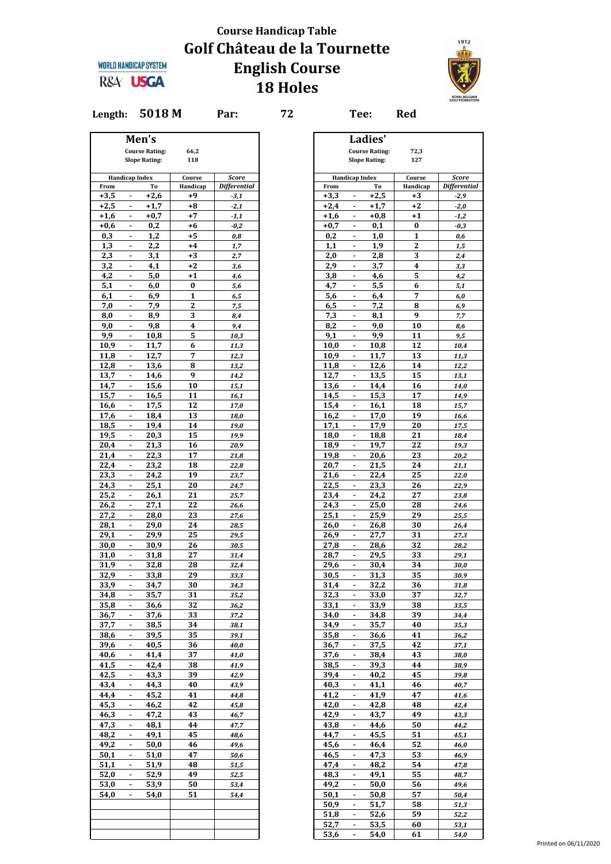

**WORLD HANDICAP SYSTEM** R&A<sup>'</sup> USGA

**Length: 5018 M Par: 72 Tee: Red**

|        |                          | Men's                 |           |                     |
|--------|--------------------------|-----------------------|-----------|---------------------|
|        |                          | <b>Course Rating:</b> | 66,2      |                     |
|        |                          | <b>Slope Rating:</b>  | 118       |                     |
|        | <b>Handicap Index</b>    |                       | Course    | <b>Score</b>        |
| From   |                          | To                    | Handicap  | <b>Differential</b> |
| $+3,5$ | ä,                       | $+2,6$                | +9        | -3,1                |
| $+2,5$ | $\blacksquare$           | $+1,7$                | +8        | $-2,1$              |
| $+1,6$ | ٠                        | $+0,7$                | $+7$      | $-1,1$              |
| $+0,6$ | ٠                        | 0,2                   | +6        | -0,2                |
| 0,3    | ä,                       | 1,2                   | +5        | 0,8                 |
| 1,3    | ٠                        | 2,2                   | +4        | 1,7                 |
| 2,3    |                          | 3,1                   | $+3$      | 2,7                 |
| 3,2    | ۰                        | 4,1                   | +2        | 3,6                 |
| 4,2    | $\blacksquare$           | 5,0                   | $+1$      | 4,6                 |
| 5,1    | ٠                        | 6,0                   | $\bf{0}$  | 5,6                 |
| 6,1    | $\overline{\phantom{a}}$ | 6,9                   | 1         | 6,5                 |
| 7,0    | ٠                        | 7,9                   | 2         | 7,5                 |
| 8,0    | ä,                       | 8,9                   | 3         | 8,4                 |
| 9,0    | ä,                       | 9,8                   | 4         | 9,4                 |
| 9,9    |                          | 10,8                  | ${\bf 5}$ | 10,3                |
| 10,9   | $\blacksquare$           | 11,7                  | 6         | 11,3                |
| 11,8   | ٠                        | 12,7                  | 7         | 12,3                |
| 12,8   | $\blacksquare$           | 13,6                  | 8         | 13,2                |
| 13,7   | ۰                        | 14,6                  | 9         | 14,2                |
| 14,7   | ٠                        | 15,6                  | 10        | 15,1                |
| 15,7   | $\blacksquare$           | 16,5                  | 11        | 16,1                |
| 16,6   | $\blacksquare$           | 17,5                  | 12        | 17,0                |
| 17,6   | ٠                        | 18,4                  | 13        | 18,0                |
| 18,5   | ٠                        | 19,4                  | 14        | 19,0                |
| 19,5   | ٠                        | 20,3                  | 15        | 19,9                |
| 20,4   | ä,                       | 21,3                  | 16        | 20,9                |
| 21,4   | ۰                        | 22,3                  | 17        | 21,8                |
| 22,4   |                          | 23,2                  | 18        | 22,8                |
| 23,3   | ۰                        | 24,2                  | 19        | 23,7                |
| 24,3   | $\blacksquare$           | 25,1                  | 20        | 24,7                |
| 25,2   | ٠                        | 26,1                  | 21        | 25,7                |
| 26,2   | ٠                        | 27,1                  | 22        |                     |
|        |                          |                       |           | 26,6                |
| 27,2   | ٠<br>ä,                  | 28,0                  | 23        | 27,6                |
| 28,1   |                          | 29,0                  | 24        | 28,5                |
| 29,1   | ٠                        | 29,9                  | 25        | 29,5                |
| 30,0   |                          | 30,9                  | 26        | 30,5                |
| 31,0   | ۰                        | 31,8                  | 27        | 31,4                |
| 31,9   | $\blacksquare$           | 32,8                  | 28        | 32,4                |
| 32,9   | ä,                       | 33,8                  | 29        | 33,3                |
| 33,9   | -                        | 34,7                  | 30        | 34,3                |
| 34,8   | ٠                        | 35,7                  | 31        | 35,2                |
| 35,8   | $\blacksquare$           | 36,6                  | 32        | 36,2                |
| 36,7   | ٠                        | 37,6                  | 33        | 37,2                |
| 37,7   |                          | 38,5                  | 34        | 38,1                |
| 38,6   | $\blacksquare$           | 39,5                  | 35        | 39,1                |
| 39,6   | ٠                        | 40,5                  | 36        | 40,0                |
| 40,6   | ä,                       | 41,4                  | 37        | 41,0                |
| 41,5   | ۰                        | 42,4                  | 38        | 41,9                |
| 42,5   | ٠                        | 43,3                  | 39        | 42,9                |
| 43,4   | $\blacksquare$           | 44,3                  | 40        | 43,9                |
| 44,4   | $\blacksquare$           | 45,2                  | 41        | 44,8                |
| 45,3   | $\overline{\phantom{a}}$ | 46,2                  | 42        | 45,8                |
| 46,3   | ٠                        | 47,2                  | 43        | 46,7                |
| 47,3   | ۰                        | 48,1                  | 44        | 47,7                |
| 48,2   | ÷.                       | 49,1                  | 45        | 48,6                |
| 49,2   | ٠                        | 50,0                  | 46        | 49,6                |
| 50,1   | $\blacksquare$           | 51,0                  | 47        |                     |
|        |                          |                       |           | 50,6                |
| 51,1   | ۰                        | 51,9                  | 48        | 51,5                |
| 52,0   | $\blacksquare$           | 52,9                  | 49        | 52,5                |
| 53,0   | $\overline{\phantom{a}}$ | 53,9                  | 50        | 53,4                |
| 54,0   | ٠                        | 54,0                  | 51        | 54,4                |
|        |                          |                       |           |                     |
|        |                          |                       |           |                     |
|        |                          |                       |           |                     |
|        |                          |                       |           |                     |

|      | Men's                            |          |                     |
|------|----------------------------------|----------|---------------------|
|      | <b>Course Rating:</b>            | 66,2     |                     |
|      | <b>Slope Rating:</b>             | 118      |                     |
|      | <b>Handicap Index</b>            | Course   | Score               |
| From | To                               | Handicap | <b>Differential</b> |
| +3,5 | $+2,6$                           | +9       | -3,1                |
| +2,5 | $+1.7$<br>$\blacksquare$         | +8       | $-2,1$              |
| +1,6 | +0,7<br>٠                        | +7       | -1,1                |
| +0,6 | 0,2<br>ä,                        | +6       | $-0,2$              |
| 0,3  | 1,2<br>$\overline{\phantom{a}}$  | +5       | 0,8                 |
| 1,3  | 2,2<br>٠                         | $+4$     | 1,7                 |
| 2,3  | 3,1<br>$\blacksquare$            | +3       | 2,7                 |
|      |                                  |          |                     |
| 3,2  | 4,1<br>٠                         | +2       | 3,6                 |
| 4,2  | 5,0<br>٠                         | +1       | 4,6                 |
| 5,1  | 6,0<br>$\overline{\phantom{a}}$  | 0        | 5,6                 |
| 6,1  | 6,9<br>٠                         | 1        | 6,5                 |
| 7,0  | 7,9<br>٠                         | 2        | 7,5                 |
| 8,0  | 8,9<br>٠                         | 3        | 8,4                 |
| 9,0  | 9,8<br>٠                         | 4        | 9,4                 |
| 9,9  | 10,8<br>۰                        | 5        | 10,3                |
| 10,9 | 11,7                             | 6        | 11,3                |
| 11,8 | 12,7<br>$\overline{\phantom{a}}$ | 7        | 12,3                |
| 12,8 | 13,6<br>$\blacksquare$           | 8        | 13,2                |
|      |                                  | 9        |                     |
| 13,7 | 14,6<br>٠                        |          | 14,2                |
| 14,7 | $\blacksquare$<br>15,6           | 10       | 15,1                |
| 15,7 | 16,5<br>۰                        | 11       | 16,1                |
| 16,6 | 17,5<br>٠                        | 12       | 17,0                |
| 17,6 | 18,4<br>٠                        | 13       | 18,0                |
| 18,5 | 19,4                             | 14       | 19,0                |
| 19,5 | 20,3<br>$\blacksquare$           | 15       | 19,9                |
| 20,4 | 21,3<br>$\overline{\phantom{a}}$ | 16       | 20,9                |
| 21,4 | 22,3<br>٠                        | 17       | 21,8                |
| 22,4 | 23,2<br>$\blacksquare$           | 18       | 22,8                |
| 23,3 | 24,2<br>٠                        | 19       | 23,7                |
| 24,3 | ٠                                | 20       |                     |
|      | 25,1                             |          | 24,7                |
| 25,2 | 26,1<br>$\overline{\phantom{a}}$ | 21       | 25,7                |
| 26,2 | 27,1<br>٠                        | 22       | 26,6                |
| 27,2 | 28,0<br>$\blacksquare$           | 23       | 27,6                |
| 28,1 | 29,0<br>٠                        | 24       | 28,5                |
| 29,1 | 29,9<br>٠                        | 25       | 29,5                |
| 30,0 | 30,9<br>$\blacksquare$           | 26       | 30,5                |
| 31,0 | 31,8<br>٠                        | 27       | 31,4                |
| 31,9 | 32,8<br>٠                        | 28       | 32,4                |
| 32,9 | 33,8<br>۰                        | 29       | 33,3                |
|      |                                  |          |                     |
| 33,9 | 34,7<br>٠                        | 30       | 34,3                |
| 34,8 | 35,7                             | 31       | 35,2                |
| 35,8 | 36,6<br>$\sim$                   | 32       | 36,2                |
| 36,7 | 37,6<br>$\blacksquare$           | 33       | 37,2                |
| 37,7 | 38,5<br>٠                        | 34       | 38,1                |
| 38,6 | 39,5                             | 35       | 39,1                |
| 39,6 | 40,5<br>$\blacksquare$           | 36       | 40,0                |
| 40,6 | 41,4<br>٠                        | 37       | 41,0                |
| 41,5 | 42,4<br>٠                        | 38       | 41,9                |
| 42,5 |                                  |          |                     |
|      | 43,3                             | 39       | 42,9                |
| 43,4 | 44,3<br>٠                        | 40       | 43,9                |
| 44,4 | 45,2<br>$\sim$                   | 41       | 44,8                |
| 45,3 | 46,2<br>٠                        | 42       | 45,8                |
| 46,3 | 47,2<br>٠                        | 43       | 46,7                |
| 47,3 | 48,1<br>$\sim$                   | 44       | 47,7                |
| 48,2 | 49,1<br>٠                        | 45       | 48,6                |
| 49,2 | 50,0<br>٠                        | 46       | 49,6                |
| 50,1 | 51,0<br>$\blacksquare$           | 47       | 50,6                |
|      |                                  |          |                     |
| 51,1 | 51,9<br>٠                        | 48       | 51,5                |
| 52,0 | 52,9                             | 49       | 52,5                |
| 53,0 | 53,9<br>$\blacksquare$           | 50       | 53,4                |
| 54,0 | 54,0<br>٠                        | 51       | 54,4                |
|      |                                  |          |                     |
|      |                                  |          |                     |
|      |                                  |          |                     |
|      |                                  |          |                     |
|      |                                  |          |                     |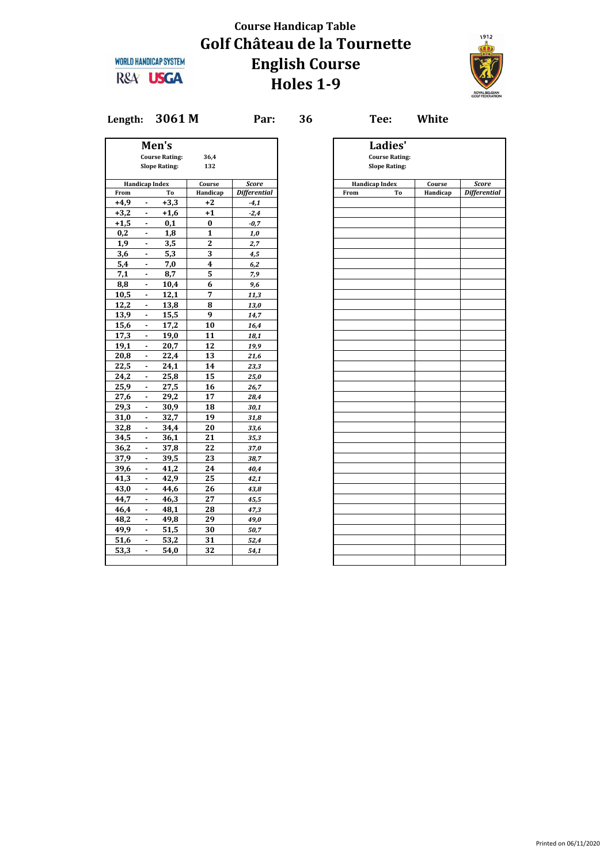

#### **Length: 3061 M Par: 36 Tee: White**

**WORLD HANDICAP SYSTEM** R&A<sup>USGA</sup>

|        |                          | Men's<br><b>Course Rating:</b> | 36,4                    |                     | Ladies'<br><b>Course Rating:</b> |          |                |
|--------|--------------------------|--------------------------------|-------------------------|---------------------|----------------------------------|----------|----------------|
|        |                          | <b>Slope Rating:</b>           | 132                     |                     | <b>Slope Rating:</b>             |          |                |
|        | <b>Handicap Index</b>    |                                | Course                  | <b>Score</b>        | <b>Handicap Index</b>            | Course   |                |
| From   |                          | To                             | Handicap                | <b>Differential</b> | From<br>To                       | Handicap | <b>Differe</b> |
| $+4.9$ |                          | $+3.3$                         | $+2$                    | $-4,1$              |                                  |          |                |
| $+3,2$ | ÷.                       | $+1,6$                         | $+1$                    | $-2,4$              |                                  |          |                |
| $+1,5$ | $\blacksquare$           | 0,1                            | $\bf{0}$                | $-0,7$              |                                  |          |                |
| 0,2    | ۰                        | 1,8                            | $\mathbf{1}$            | 1,0                 |                                  |          |                |
| 1,9    | ۰                        | 3,5                            | $\mathbf{2}$            | 2,7                 |                                  |          |                |
| 3,6    | ۰                        | 5,3                            | 3                       | 4,5                 |                                  |          |                |
| 5,4    | $\blacksquare$           | 7,0                            | $\overline{\mathbf{4}}$ | 6,2                 |                                  |          |                |
| 7,1    | $\overline{\phantom{a}}$ | 8,7                            | 5                       | 7,9                 |                                  |          |                |
| 8,8    | $\blacksquare$           | 10,4                           | 6                       | 9,6                 |                                  |          |                |
| 10,5   | $\blacksquare$           | 12,1                           | 7                       | 11,3                |                                  |          |                |
| 12,2   | $\blacksquare$           | 13,8                           | 8                       | 13,0                |                                  |          |                |
| 13,9   | $\overline{\phantom{a}}$ | 15,5                           | 9                       | 14,7                |                                  |          |                |
| 15,6   | $\blacksquare$           | 17,2                           | 10                      | 16,4                |                                  |          |                |
| 17,3   | ٠                        | 19,0                           | 11                      | 18,1                |                                  |          |                |
| 19,1   | $\blacksquare$           | 20,7                           | 12                      | 19,9                |                                  |          |                |
| 20,8   | $\blacksquare$           | 22,4                           | 13                      | 21,6                |                                  |          |                |
| 22,5   | $\blacksquare$           | 24,1                           | 14                      | 23,3                |                                  |          |                |
| 24,2   | ٠                        | 25,8                           | 15                      | 25,0                |                                  |          |                |
| 25,9   | ٠                        | 27,5                           | 16                      | 26,7                |                                  |          |                |
| 27,6   | $\blacksquare$           | 29,2                           | 17                      | 28,4                |                                  |          |                |
| 29,3   | $\blacksquare$           | 30,9                           | 18                      | 30,1                |                                  |          |                |
| 31,0   | $\blacksquare$           | 32,7                           | 19                      | 31,8                |                                  |          |                |
| 32,8   | $\blacksquare$           | 34,4                           | 20                      | 33,6                |                                  |          |                |
| 34,5   | $\blacksquare$           | 36,1                           | 21                      | 35,3                |                                  |          |                |
| 36,2   | $\blacksquare$           | 37,8                           | 22                      | 37,0                |                                  |          |                |
| 37,9   | $\blacksquare$           | 39,5                           | 23                      | 38,7                |                                  |          |                |
| 39,6   | $\blacksquare$           | 41,2                           | 24                      | 40,4                |                                  |          |                |
| 41,3   | $\blacksquare$           | 42,9                           | 25                      | 42,1                |                                  |          |                |
| 43,0   | $\blacksquare$           | 44,6                           | 26                      | 43,8                |                                  |          |                |
| 44,7   | ٠                        | 46,3                           | 27                      | 45,5                |                                  |          |                |
| 46,4   | $\blacksquare$           | 48,1                           | 28                      | 47,3                |                                  |          |                |
| 48,2   | ÷.                       | 49,8                           | 29                      | 49,0                |                                  |          |                |
| 49,9   | $\blacksquare$           | 51,5                           | 30                      | 50,7                |                                  |          |                |
| 51,6   | ۰                        | 53,2                           | 31                      | 52,4                |                                  |          |                |
| 53,3   | $\blacksquare$           | 54,0                           | 32                      | 54,1                |                                  |          |                |
|        |                          |                                |                         |                     |                                  |          |                |
|        |                          |                                |                         |                     |                                  |          |                |

| From<br>+4,9 | <b>Handicap Index</b>    | Men's<br><b>Course Rating:</b><br><b>Slope Rating:</b> | 36,4               |                              |
|--------------|--------------------------|--------------------------------------------------------|--------------------|------------------------------|
|              |                          |                                                        |                    |                              |
|              |                          |                                                        |                    |                              |
|              |                          |                                                        | 132                |                              |
|              |                          |                                                        |                    |                              |
|              |                          | To                                                     | Course<br>Handicap | Score<br><b>Differential</b> |
|              | ٠                        | $+3,3$                                                 | $+2$               | $-4,1$                       |
| $+3,2$       | $\blacksquare$           | $+1,6$                                                 | $+1$               |                              |
|              |                          |                                                        |                    | $-2,4$                       |
| $+1,5$       | $\overline{\phantom{a}}$ | 0,1                                                    | 0                  | $-0,7$                       |
| 0,2          |                          | 1,8                                                    | $\mathbf{1}$       | 1,0                          |
| 1,9          | $\blacksquare$           | 3,5                                                    | $\mathbf{2}$       | 2,7                          |
| 3,6          | $\blacksquare$           | 5,3                                                    | 3                  | 4,5                          |
| 5,4          | ۰                        | 7,0                                                    | 4                  | 6,2                          |
| 7,1          | $\blacksquare$           | 8,7                                                    | 5                  | 7,9                          |
| 8,8          | ۰                        | 10,4                                                   | 6                  | 9,6                          |
| 10,5         | $\blacksquare$           | 12,1                                                   | 7                  | 11,3                         |
| 12,2         | ۰                        | 13,8                                                   | 8                  | 13,0                         |
| 13,9         | $\blacksquare$           | 15,5                                                   | 9                  | 14,7                         |
| 15,6         | ٠                        | 17,2                                                   | 10                 | 16,4                         |
| 17,3         | $\blacksquare$           | 19,0                                                   | 11                 | 18,1                         |
| 19,1         | $\blacksquare$           | 20,7                                                   | 12                 | 19,9                         |
| 20,8         | ۰                        | 22,4                                                   | 13                 | 21,6                         |
| 22,5         | $\blacksquare$           | 24,1                                                   | 14                 | 23,3                         |
| 24,2         | $\blacksquare$           | 25,8                                                   | 15                 | 25,0                         |
| 25,9         | $\blacksquare$           | 27,5                                                   | 16                 | 26,7                         |
| 27,6         | ٠                        | 29,2                                                   | 17                 | 28,4                         |
| 29,3         | $\blacksquare$           | 30,9                                                   | 18                 | 30,1                         |
| 31,0         | $\blacksquare$           | 32,7                                                   | 19                 | 31,8                         |
| 32,8         | $\blacksquare$           | 34,4                                                   | 20                 | 33,6                         |
|              |                          |                                                        |                    |                              |
| 34,5         | ٠                        | 36,1                                                   | 21                 | 35,3                         |
| 36,2         | $\blacksquare$           | 37,8                                                   | 22                 | 37,0                         |
| 37,9         |                          | 39,5                                                   | 23                 | 38,7                         |
| 39,6         | $\blacksquare$           | 41,2                                                   | 24                 | 40,4                         |
| 41,3         | $\blacksquare$           | 42,9                                                   | 25                 | 42,1                         |
| 43,0         | ۰                        | 44,6                                                   | 26                 | 43,8                         |
| 44,7         | $\blacksquare$           | 46,3                                                   | 27                 | 45,5                         |
| 46,4         | $\blacksquare$           | 48,1                                                   | 28                 | 47,3                         |
| 48,2         | $\blacksquare$           | 49,8                                                   | 29                 | 49,0                         |
| 49,9         | ۰                        | 51,5                                                   | 30                 | 50,7                         |
| 51,6         | ٠                        | 53,2                                                   | 31                 | 52,4                         |
| 53,3         |                          | 54,0                                                   | 32                 | 54,1                         |
|              |                          |                                                        |                    |                              |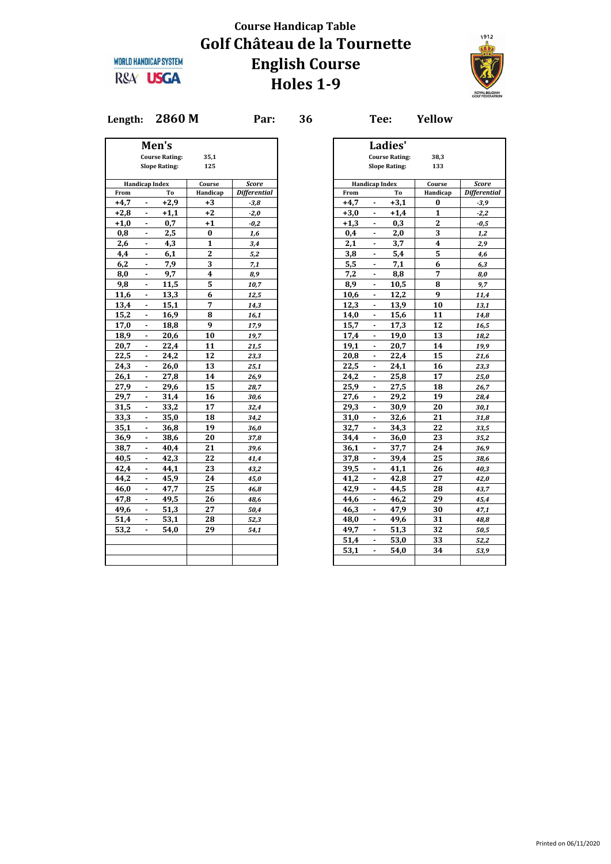

#### **Length: 2860 M Par: 36 Tee: Yellow**

|        |                          | Men's                 |                         |                                     |
|--------|--------------------------|-----------------------|-------------------------|-------------------------------------|
|        |                          | <b>Course Rating:</b> | 35,1                    |                                     |
|        |                          | <b>Slope Rating:</b>  | 125                     |                                     |
|        |                          |                       |                         |                                     |
| From   | <b>Handicap Index</b>    | To                    | Course<br>Handicap      | <b>Score</b><br><b>Differential</b> |
| $+4,7$ |                          | $+2,9$                | $+3$                    | $-3,8$                              |
| $+2,8$ | $\overline{\phantom{a}}$ | $+1,1$                | $+2$                    | $-2,0$                              |
| $+1,0$ | ۰                        | 0,7                   | $+1$                    | $-0,2$                              |
| 0.8    | ٠                        | 2,5                   | $\bf{0}$                | 1,6                                 |
| 2,6    |                          | 4,3                   | $\mathbf{1}$            | 3,4                                 |
| 4,4    | $\blacksquare$           | 6,1                   | $\overline{2}$          | 5,2                                 |
| 6,2    | ۰                        | 7,9                   | 3                       |                                     |
| 8,0    | $\blacksquare$           | 9,7                   | $\overline{\mathbf{4}}$ | 7,1                                 |
| 9,8    | $\blacksquare$           | 11,5                  | 5                       | 8,9<br>10,7                         |
| 11,6   | $\blacksquare$           | 13,3                  | 6                       |                                     |
| 13,4   |                          | 15,1                  | 7                       | 12,5                                |
|        | $\blacksquare$           |                       | 8                       | 14,3                                |
| 15,2   | $\blacksquare$           | 16,9                  |                         | 16,1                                |
| 17,0   |                          | 18,8                  | 9                       | 17,9                                |
| 18,9   | $\blacksquare$           | 20,6                  | 10                      | 19,7                                |
| 20,7   | $\blacksquare$           | 22,4                  | 11                      | 21,5                                |
| 22,5   | $\blacksquare$           | 24,2                  | 12                      | 23,3                                |
| 24,3   |                          | 26,0                  | 13                      | 25,1                                |
| 26,1   | $\blacksquare$           | 27,8                  | 14                      | 26,9                                |
| 27,9   | $\blacksquare$           | 29,6                  | 15                      | 28,7                                |
| 29,7   | $\blacksquare$           | 31,4                  | 16                      | 30,6                                |
| 31,5   | $\blacksquare$           | 33,2                  | 17                      | 32,4                                |
| 33,3   | $\blacksquare$           | 35,0                  | 18                      | 34,2                                |
| 35,1   | $\blacksquare$           | 36,8                  | 19                      | 36,0                                |
| 36,9   | $\overline{\phantom{a}}$ | 38,6                  | 20                      | 37,8                                |
| 38,7   | $\blacksquare$           | 40,4                  | 21                      | 39,6                                |
| 40,5   | ä,                       | 42,3                  | 22                      | 41,4                                |
| 42,4   | $\blacksquare$           | 44,1                  | 23                      | 43,2                                |
| 44,2   | ۰                        | 45,9                  | 24                      | 45,0                                |
| 46,0   | ٠                        | 47,7                  | 25                      | 46,8                                |
| 47,8   |                          | 49,5                  | 26                      | 48,6                                |
| 49,6   | $\blacksquare$           | 51,3                  | 27                      | 50,4                                |
| 51,4   | ٠                        | 53,1                  | 28                      | 52,3                                |
| 53,2   | $\blacksquare$           | 54,0                  | 29                      | 54,1                                |
|        |                          |                       |                         |                                     |
|        |                          |                       |                         |                                     |
|        |                          |                       |                         |                                     |

|        |                       | Men's                 |          |                     |
|--------|-----------------------|-----------------------|----------|---------------------|
|        |                       | <b>Course Rating:</b> | 35,1     |                     |
|        |                       | <b>Slope Rating:</b>  | 125      |                     |
|        | <b>Handicap Index</b> |                       | Course   | Score               |
| From   |                       | Тo                    | Handicap | <b>Differential</b> |
| +4,7   |                       | $+2,9$                | +3       | $-3,8$              |
| $+2,8$ |                       | +1,1                  | $+2$     | $-2,0$              |
| +1,0   |                       | 0,7                   | +1       | $-0,2$              |
| 0,8    | ٠                     | 2,5                   | $\bf{0}$ | 1,6                 |
| 2,6    | ۰                     | 4,3                   | 1        | 3,4                 |
| 4,4    |                       | 6,1                   | 2        | 5,2                 |
| 6,2    | $\blacksquare$        | 7,9                   | 3        | 7,1                 |
| 8,0    |                       | 9,7                   | 4        | 8,9                 |
| 9,8    | $\blacksquare$        | 11,5                  | 5        | 10,7                |
| 11,6   | ٠                     | 13,3                  | 6        | 12,5                |
| 13,4   | ۰                     | 15,1                  | 7        | 14,3                |
| 15,2   |                       | 16,9                  | 8        | 16,1                |
| 17,0   | $\blacksquare$        | 18,8                  | 9        | 17,9                |
| 18,9   | $\blacksquare$        | 20,6                  | 10       | 19,7                |
| 20,7   |                       | 22,4                  | 11       | 21,5                |
| 22,5   |                       | 24,2                  | 12       | 23,3                |
| 24,3   |                       | 26,0                  | 13       | 25,1                |
| 26,1   | ۰                     | 27,8                  | 14       | 26,9                |
| 27,9   | ۰                     | 29,6                  | 15       | 28,7                |
| 29,7   |                       | 31,4                  | 16       | 30,6                |
| 31,5   |                       | 33,2                  | 17       | 32,4                |
| 33,3   | ٠                     | 35,0                  | 18       | 34,2                |
| 35,1   | $\blacksquare$        | 36,8                  | 19       | 36,0                |
| 36,9   | ۰                     | 38,6                  | 20       | 37,8                |
| 38,7   |                       | 40,4                  | 21       | 39,6                |
| 40,5   | ٠                     | 42,3                  | 22       | 41,4                |
| 42,4   | ä,                    | 44,1                  | 23       | 43,2                |
| 44,2   | $\blacksquare$        | 45,9                  | 24       | 45,0                |
| 46,0   | ۰                     | 47,7                  | 25       | 46,8                |
| 47,8   | ٠                     | 49,5                  | 26       | 48,6                |
| 49,6   |                       | 51,3                  | 27       | 50,4                |
| 51,4   | ٠                     | 53,1                  | 28       | 52,3                |
| 53,2   | $\blacksquare$        | 54,0                  | 29       | 54,1                |
|        |                       |                       |          |                     |
|        |                       |                       |          |                     |
|        |                       |                       |          |                     |
|        |                       |                       |          |                     |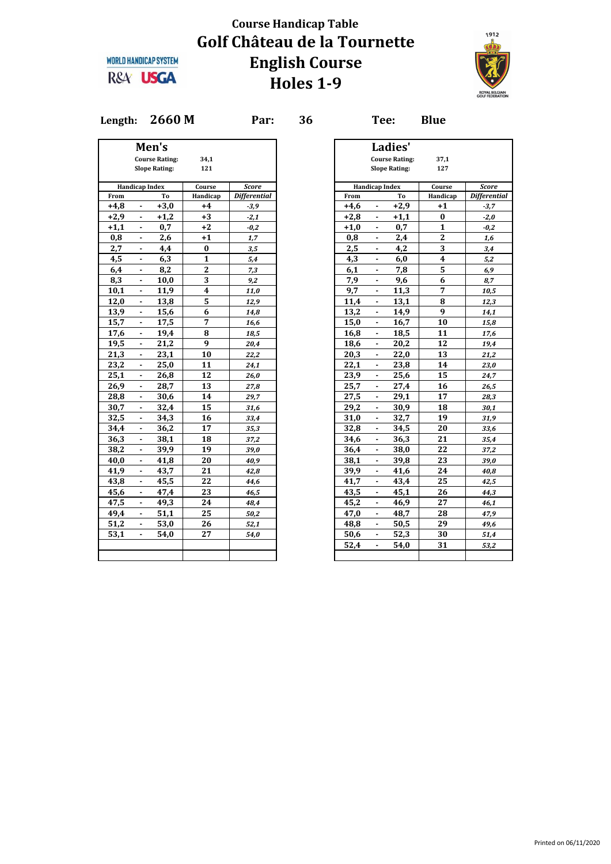

**Length: 2660 M Par: 36 Tee: Blue**

|        |                              | Men's                 |                  |                     |
|--------|------------------------------|-----------------------|------------------|---------------------|
|        |                              | <b>Course Rating:</b> | 34,1             |                     |
|        |                              | <b>Slope Rating:</b>  | 121              |                     |
|        | <b>Handicap Index</b>        |                       | Course           | <b>Score</b>        |
| From   |                              | To                    | Handicap         | <b>Differential</b> |
| $+4,8$ | $\blacksquare$               | $+3,0$                | $+4$             | $-3,9$              |
| $+2,9$ | $\blacksquare$               | $+1,2$                | $+3$             | $-2,1$              |
| $+1,1$ | $\overline{\phantom{a}}$     | 0,7                   | $+2$             | -0,2                |
| 0,8    | $\blacksquare$               | 2,6                   | $+1$             | 1,7                 |
| 2,7    |                              | 4,4                   | $\bf{0}$         | 3,5                 |
| 4,5    | $\mathbf{r}$                 | 6,3                   | $\mathbf{1}$     | 5,4                 |
| 6,4    | $\blacksquare$               | 8,2                   | $\mathbf{2}$     | 7,3                 |
| 8,3    | $\blacksquare$               | 10,0                  | 3                | 9,2                 |
| 10,1   |                              | 11,9                  | $\boldsymbol{4}$ | 11,0                |
| 12,0   | $\blacksquare$               | 13,8                  | 5                | 12,9                |
| 13,9   |                              | 15,6                  | 6                | 14,8                |
| 15,7   | $\overline{a}$               | 17,5                  | $\overline{7}$   | 16,6                |
| 17,6   | $\blacksquare$               | 19,4                  | 8                | 18,5                |
| 19,5   | $\blacksquare$               | 21,2                  | 9                | 20,4                |
| 21,3   | $\qquad \qquad \blacksquare$ | 23,1                  | 10               | 22,2                |
| 23,2   | $\blacksquare$               | 25,0                  | 11               | 24,1                |
| 25,1   |                              | 26,8                  | 12               | 26,0                |
| 26,9   |                              | 28,7                  | 13               | 27,8                |
| 28,8   | $\blacksquare$               | 30,6                  | 14               | 29,7                |
| 30,7   | $\blacksquare$               | 32,4                  | 15               | 31,6                |
| 32,5   | $\qquad \qquad \blacksquare$ | 34,3                  | 16               | 33,4                |
| 34,4   | $\blacksquare$               | 36,2                  | 17               | 35,3                |
| 36,3   |                              | 38,1                  | 18               | 37,2                |
| 38,2   | $\overline{\phantom{a}}$     | 39,9                  | 19               | 39,0                |
| 40,0   | $\blacksquare$               | 41,8                  | 20               | 40,9                |
| 41,9   | $\blacksquare$               | 43,7                  | 21               | 42,8                |
| 43,8   | $\blacksquare$               | 45,5                  | 22               | 44,6                |
| 45,6   | $\blacksquare$               | 47,4                  | 23               | 46,5                |
| 47,5   |                              | 49,3                  | 24               | 48,4                |
| 49,4   | $\overline{\phantom{a}}$     | 51,1                  | 25               | 50,2                |
| 51,2   | $\blacksquare$               | 53,0                  | 26               | 52,1                |
| 53,1   | $\blacksquare$               | 54,0                  | 27               | 54,0                |
|        |                              |                       |                  |                     |
|        |                              |                       |                  |                     |

|            |                          | Men's                 |                  |                     |
|------------|--------------------------|-----------------------|------------------|---------------------|
|            |                          | <b>Course Rating:</b> | 34,1             |                     |
|            |                          | <b>Slope Rating:</b>  | 121              |                     |
|            |                          |                       | Course           | <b>Score</b>        |
| From       | <b>Handicap Index</b>    | To                    | Handicap         | <b>Differential</b> |
| +4,8       |                          | $+3,0$                | $+4$             | $-3,9$              |
| $+2,9$     | $\blacksquare$           | $+1,2$                | $+3$             | $-2,1$              |
| +1,1       | $\blacksquare$           | 0,7                   | $+2$             | $-0,2$              |
| 0,8        | $\blacksquare$           | 2,6                   | +1               | 1,7                 |
| 2,7        | $\overline{\phantom{a}}$ |                       | 0                | 3,5                 |
| 4,5        | $\blacksquare$           | 4,4                   | $\mathbf{1}$     |                     |
|            | $\blacksquare$           | 6,3                   | $\overline{2}$   | 5,4                 |
| 6,4<br>8,3 |                          | 8,2                   | 3                | 7,3                 |
|            |                          | 10,0                  |                  | 9,2                 |
| 10,1       |                          | 11,9                  | $\boldsymbol{4}$ | 11,0                |
| 12,0       | $\blacksquare$           | 13,8                  | 5                | 12,9                |
| 13,9       | $\blacksquare$           | 15,6                  | 6                | 14,8                |
| 15,7       | $\blacksquare$           | 17,5                  | 7                | 16,6                |
| 17,6       | $\blacksquare$           | 19,4                  | 8                | 18,5                |
| 19,5       | $\blacksquare$           | 21,2                  | 9                | 20,4                |
| 21,3       | $\blacksquare$           | 23,1                  | 10               | 22,2                |
| 23,2       | $\blacksquare$           | 25,0                  | 11               | 24,1                |
| 25,1       |                          | 26,8                  | 12               | 26,0                |
| 26,9       | $\blacksquare$           | 28,7                  | 13               | 27,8                |
| 28,8       | $\blacksquare$           | 30,6                  | 14               | 29,7                |
| 30,7       | $\blacksquare$           | 32,4                  | 15               | 31,6                |
| 32,5       | $\blacksquare$           | 34,3                  | 16               | 33,4                |
| 34,4       | $\blacksquare$           | 36,2                  | 17               | 35,3                |
| 36,3       | $\blacksquare$           | 38,1                  | 18               | 37,2                |
| 38,2       | $\overline{\phantom{a}}$ | 39,9                  | 19               | 39,0                |
| 40,0       | $\blacksquare$           | 41,8                  | 20               | 40,9                |
| 41,9       |                          | 43,7                  | 21               | 42,8                |
| 43,8       | $\blacksquare$           | 45,5                  | 22               | 44,6                |
| 45,6       | $\overline{\phantom{a}}$ | 47,4                  | 23               | 46,5                |
| 47,5       | $\blacksquare$           | 49,3                  | 24               | 48,4                |
| 49,4       | ۰                        | 51,1                  | 25               | 50,2                |
| 51,2       |                          | 53,0                  | 26               |                     |
| 53,1       | $\blacksquare$           |                       | 27               | 52,1                |
|            | $\overline{\phantom{a}}$ | 54,0                  |                  | 54,0                |
|            |                          |                       |                  |                     |
|            |                          |                       |                  |                     |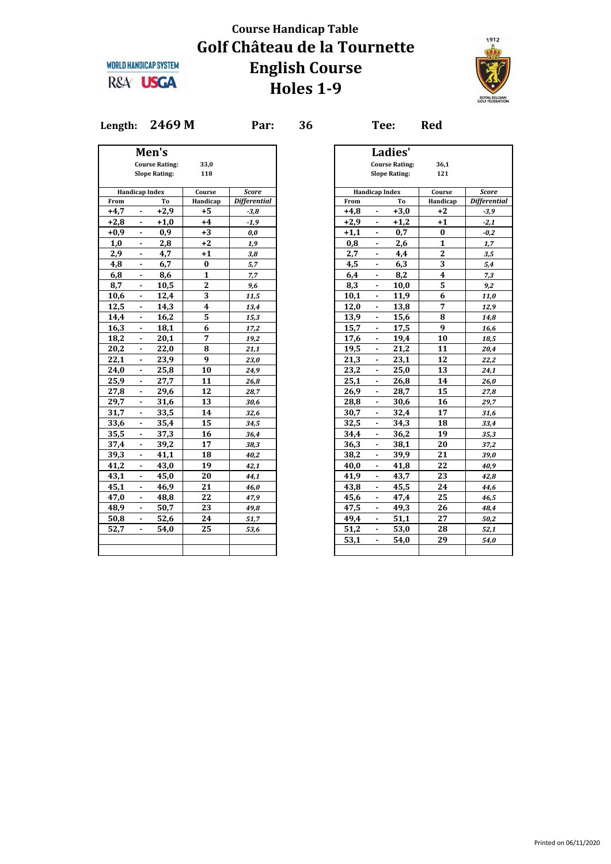

#### **Length: 2469 M Par: 36 Tee: Red**

|        |                       | Men's                 |                  |                     |
|--------|-----------------------|-----------------------|------------------|---------------------|
|        |                       | <b>Course Rating:</b> | 33,0             |                     |
|        |                       | <b>Slope Rating:</b>  | 118              |                     |
|        |                       |                       |                  |                     |
|        | <b>Handicap Index</b> |                       | Course           | <b>Score</b>        |
| From   |                       | To                    | Handicap         | <b>Differential</b> |
| $+4,7$ | $\blacksquare$        | $+2,9$                | $+5$             | $-3,8$              |
| $+2,8$ | $\blacksquare$        | $+1,0$                | $+4$             | $-1,9$              |
| $+0,9$ | $\blacksquare$        | 0,9                   | $+3$             | 0,0                 |
| 1,0    | $\blacksquare$        | 2,8                   | $+2$             | 1,9                 |
| 2,9    | $\blacksquare$        | 4,7                   | $+1$             | 3,8                 |
| 4,8    | $\blacksquare$        | 6,7                   | $\bf{0}$         | 5,7                 |
| 6,8    | $\blacksquare$        | 8,6                   | $\mathbf{1}$     | 7,7                 |
| 8,7    |                       | 10,5                  | $\bf 2$          | 9,6                 |
| 10,6   | $\blacksquare$        | 12,4                  | 3                | 11,5                |
| 12,5   | $\blacksquare$        | 14,3                  | $\boldsymbol{4}$ | 13,4                |
| 14,4   | $\blacksquare$        | 16,2                  | 5                | 15,3                |
| 16,3   | $\blacksquare$        | 18,1                  | 6                | 17,2                |
| 18,2   | $\blacksquare$        | 20,1                  | $\overline{7}$   | 19,2                |
| 20,2   |                       | 22,0                  | 8                | 21,1                |
| 22,1   |                       | 23,9                  | 9                | 23,0                |
| 24,0   | $\blacksquare$        | 25,8                  | 10               | 24,9                |
| 25,9   |                       | 27,7                  | 11               | 26,8                |
| 27,8   | $\blacksquare$        | 29,6                  | 12               | 28,7                |
| 29,7   | $\blacksquare$        | 31,6                  | 13               | 30,6                |
| 31,7   | $\blacksquare$        | 33,5                  | 14               | 32,6                |
| 33,6   | $\blacksquare$        | 35,4                  | 15               | 34,5                |
| 35,5   | $\blacksquare$        | 37,3                  | 16               | 36,4                |
| 37,4   | $\blacksquare$        | 39,2                  | 17               | 38,3                |
| 39,3   | $\blacksquare$        | 41,1                  | 18               | 40,2                |
| 41,2   |                       | 43,0                  | 19               | 42,1                |
| 43,1   |                       | 45,0                  | 20               | 44,1                |
| 45,1   | $\blacksquare$        | 46,9                  | 21               | 46,0                |
| 47,0   | $\blacksquare$        | 48,8                  | 22               | 47,9                |
| 48,9   | $\blacksquare$        | 50,7                  | 23               | 49,8                |
| 50,8   | $\blacksquare$        | 52,6                  | 24               | 51,7                |
| 52,7   | $\blacksquare$        | 54,0                  | 25               | 53,6                |
|        |                       |                       |                  |                     |
|        |                       |                       |                  |                     |
|        |                       |                       |                  |                     |

|        |                          | Men's                 |                    |                                     |
|--------|--------------------------|-----------------------|--------------------|-------------------------------------|
|        |                          | <b>Course Rating:</b> | 33,0               |                                     |
|        |                          | <b>Slope Rating:</b>  | 118                |                                     |
|        |                          |                       |                    |                                     |
| From   | <b>Handicap Index</b>    | To                    | Course<br>Handicap | <b>Score</b><br><b>Differential</b> |
|        |                          |                       |                    |                                     |
| $+4,7$ |                          | $+2,9$                | +5                 | $-3,8$                              |
| $+2,8$ | $\blacksquare$           | $+1,0$                | $+4$               | $-1,9$                              |
| +0,9   | $\blacksquare$           | 0,9                   | $+3$               | 0,0                                 |
| 1,0    | $\blacksquare$           | 2,8                   | $+2$               | 1,9                                 |
| 2,9    | $\blacksquare$           | 4,7                   | $+1$               | 3,8                                 |
| 4,8    | $\blacksquare$           | 6,7                   | $\bf{0}$           | 5,7                                 |
| 6,8    | $\blacksquare$           | 8,6                   | $\mathbf{1}$       | 7,7                                 |
| 8,7    |                          | 10,5                  | $\mathbf{2}$       | 9,6                                 |
| 10,6   | $\blacksquare$           | 12,4                  | 3                  | 11,5                                |
| 12,5   |                          | 14,3                  | $\boldsymbol{4}$   | 13,4                                |
| 14,4   |                          | 16,2                  | 5                  | 15,3                                |
| 16,3   |                          | 18,1                  | 6                  | 17,2                                |
| 18,2   | $\blacksquare$           | 20,1                  | 7                  | 19,2                                |
| 20,2   |                          | 22,0                  | 8                  | 21,1                                |
| 22,1   |                          | 23,9                  | 9                  | 23,0                                |
| 24,0   |                          | 25,8                  | 10                 | 24,9                                |
| 25,9   | $\blacksquare$           | 27,7                  | 11                 | 26,8                                |
| 27,8   | $\blacksquare$           | 29,6                  | 12                 | 28,7                                |
| 29,7   | $\blacksquare$           | 31,6                  | 13                 | 30,6                                |
| 31,7   | $\blacksquare$           | 33,5                  | 14                 | 32,6                                |
| 33,6   | $\overline{\phantom{a}}$ | 35,4                  | 15                 | 34,5                                |
| 35,5   | $\blacksquare$           | 37,3                  | 16                 | 36,4                                |
| 37,4   | $\overline{\phantom{a}}$ | 39,2                  | 17                 | 38,3                                |
| 39,3   | $\blacksquare$           | 41,1                  | 18                 | 40,2                                |
| 41,2   | $\overline{\phantom{a}}$ | 43,0                  | 19                 | 42,1                                |
| 43,1   | -                        | 45,0                  | 20                 | 44,1                                |
| 45,1   | $\blacksquare$           | 46,9                  | 21                 | 46,0                                |
| 47,0   | $\blacksquare$           | 48,8                  | 22                 |                                     |
| 48,9   |                          |                       | 23                 | 47,9                                |
|        |                          | 50,7                  |                    | 49,8                                |
| 50,8   | $\blacksquare$           | 52,6                  | 24                 | 51,7                                |
| 52,7   |                          | 54,0                  | 25                 | 53,6                                |
|        |                          |                       |                    |                                     |
|        |                          |                       |                    |                                     |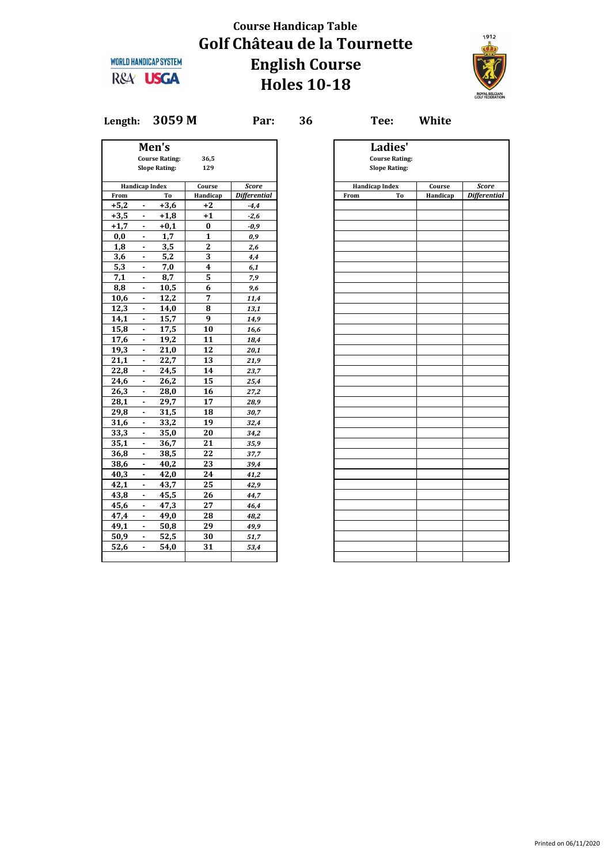

**Length: 3059 M Par: 36 Tee: White**

|        |                              | Men's<br><b>Course Rating:</b> | 36,5                    |                     |
|--------|------------------------------|--------------------------------|-------------------------|---------------------|
|        |                              | <b>Slope Rating:</b>           | 129                     |                     |
|        | <b>Handicap Index</b>        |                                | Course                  | <b>Score</b>        |
| From   |                              | To                             | Handicap                | <b>Differential</b> |
| $+5,2$ | $\blacksquare$               | $+3,6$                         | $+2$                    | $-4,4$              |
| $+3,5$ |                              | $+1,8$                         | $+1$                    | $-2,6$              |
| $+1,7$ | $\blacksquare$               | $+0,1$                         | $\bf{0}$                | $-0,9$              |
| 0,0    | $\blacksquare$               | 1,7                            | $\mathbf{1}$            | 0,9                 |
| 1,8    | $\blacksquare$               | 3,5                            | 2                       | 2,6                 |
| 3,6    | $\qquad \qquad \blacksquare$ | 5,2                            | $\overline{\mathbf{3}}$ | 4,4                 |
| 5,3    | $\blacksquare$               | 7,0                            | $\overline{\mathbf{4}}$ | 6,1                 |
| 7,1    | $\overline{\phantom{a}}$     | 8,7                            | 5                       | 7,9                 |
| 8,8    | $\blacksquare$               | 10,5                           | 6                       | 9,6                 |
| 10,6   | $\qquad \qquad \blacksquare$ | 12,2                           | 7                       | 11,4                |
| 12,3   | $\qquad \qquad \blacksquare$ | 14,0                           | 8                       | 13,1                |
| 14,1   | $\blacksquare$               | 15,7                           | 9                       | 14,9                |
| 15,8   | $\blacksquare$               | 17,5                           | 10                      | 16,6                |
| 17,6   | $\blacksquare$               | 19,2                           | 11                      | 18,4                |
| 19,3   | $\blacksquare$               | 21,0                           | 12                      | 20,1                |
| 21,1   | $\blacksquare$               | 22,7                           | 13                      | 21,9                |
| 22,8   | $\blacksquare$               | 24,5                           | 14                      | 23,7                |
| 24,6   |                              | 26,2                           | 15                      | 25,4                |
| 26,3   | ä,                           | 28,0                           | 16                      | 27,2                |
| 28,1   | $\blacksquare$               | 29,7                           | 17                      | 28,9                |
| 29,8   | $\overline{\phantom{0}}$     | 31,5                           | 18                      | 30,7                |
| 31,6   | $\blacksquare$               | 33,2                           | 19                      | 32,4                |
| 33,3   |                              | 35,0                           | 20                      | 34,2                |
| 35,1   | ä,                           | 36,7                           | 21                      | 35,9                |
| 36,8   | $\blacksquare$               | 38,5                           | 22                      | 37,7                |
| 38,6   | ۰                            | 40,2                           | 23                      | 39,4                |
| 40,3   | $\overline{\phantom{a}}$     | 42,0                           | 24                      | 41,2                |
| 42,1   |                              | 43,7                           | 25                      | 42,9                |
| 43,8   | ä,                           | 45,5                           | 26                      | 44,7                |
| 45,6   | $\blacksquare$               | 47,3                           | 27                      | 46,4                |
| 47,4   | $\blacksquare$               | 49,0                           | 28                      | 48,2                |
| 49,1   | $\overline{\phantom{a}}$     | 50,8                           | 29                      | 49,9                |
| 50,9   | $\blacksquare$               | 52,5                           | 30                      | 51,7                |
| 52,6   | $\blacksquare$               | 54,0                           | 31                      | 53,4                |
|        |                              |                                |                         |                     |
|        |                              |                                |                         |                     |

|              |                              | Men's                 |                  |                     |
|--------------|------------------------------|-----------------------|------------------|---------------------|
|              |                              | <b>Course Rating:</b> | 36,5             |                     |
|              |                              | <b>Slope Rating:</b>  | 129              |                     |
|              | <b>Handicap Index</b>        |                       | Course           | <b>Score</b>        |
| From         |                              | Tо                    | Handicap         | <b>Differential</b> |
| $+5,2$       |                              | $+3,6$                | $+2$             | $-4,4$              |
| $+3,5$       |                              | $+1,8$                | +1               | $-2,6$              |
| $+1,7$       | $\blacksquare$               | $+0,1$                | $\bf{0}$         | $-0,9$              |
| 0,0          | $\blacksquare$               | 1,7                   | 1                | 0,9                 |
| 1,8          | ٠                            | 3,5                   | $\boldsymbol{2}$ | 2,6                 |
| 3,6          |                              | 5,2                   | 3                | 4,4                 |
| 5,3          | $\blacksquare$               | 7,0                   | 4                | 6,1                 |
| 7,1          | $\blacksquare$               | 8,7                   | 5                | 7,9                 |
| 8,8          | $\blacksquare$               | 10,5                  | 6                | 9,6                 |
| 10,6         | $\blacksquare$               | 12,2                  | 7                | 11,4                |
| 12,3         | $\blacksquare$               | 14,0                  | 8                | 13,1                |
| 14, <u>1</u> | $\blacksquare$               | 15,7                  | 9                | 14,9                |
| 15,8         |                              | 17,5                  | 10               | 16,6                |
| 17,6         | $\blacksquare$               | 19,2                  | 11               | 18,4                |
| 19,3         | $\blacksquare$               | 21,0                  | 12               | 20,1                |
| 21,1         | $\overline{\phantom{a}}$     | 22,7                  | 13               | 21,9                |
| 22,8         |                              | 24,5                  | 14               | 23,7                |
| 24,6         | $\blacksquare$               | 26,2                  | 15               | 25,4                |
| 26,3         | $\blacksquare$               | 28,0                  | 16               | 27,2                |
| 28,1         | $\blacksquare$               | 29,7                  | 17               | 28,9                |
| 29,8         |                              | 31,5                  | 18               | 30,7                |
| 31,6         | $\blacksquare$               | 33,2                  | 19               | 32,4                |
| 33,3         | ٠                            | 35,0                  | 20               | 34,2                |
| 35,1         | $\blacksquare$               | 36,7                  | 21               | 35,9                |
|              |                              | 38,5                  | 22               |                     |
| 36,8         | $\blacksquare$               |                       |                  | 37,7                |
| 38,6         | $\blacksquare$               | 40,2                  | 23               | 39,4                |
| 40,3         | $\qquad \qquad \blacksquare$ | 42,0                  | 24               | 41,2                |
| 42,1         | $\blacksquare$               | 43,7                  | 25               | 42,9                |
| 43,8         | ٠                            | 45,5                  | 26               | 44,7                |
| 45,6         | $\blacksquare$               | 47,3                  | 27               | 46,4                |
| 47,4         | $\blacksquare$               | 49,0                  | 28               | 48,2                |
| 49,1         | ٠                            | 50,8                  | 29               | 49,9                |
| 50,9         | $\blacksquare$               | 52,5                  | 30               | 51,7                |
| 52,6         | $\blacksquare$               | 54,0                  | 31               | 53,4                |
|              |                              |                       |                  |                     |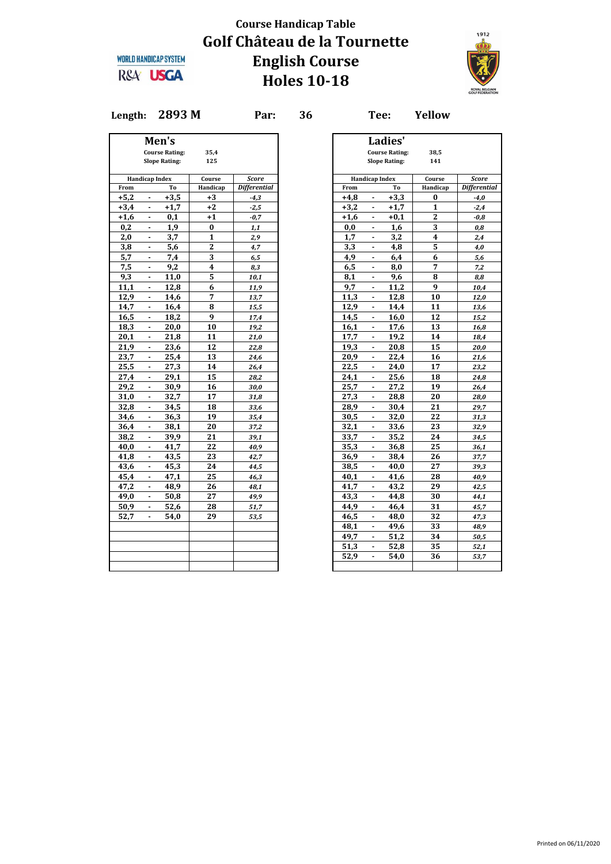

**Length: 2893 M Par: 36 Tee: Yellow**

|        |                              | Men's                 |                         |                     |
|--------|------------------------------|-----------------------|-------------------------|---------------------|
|        |                              | <b>Course Rating:</b> | 35,4                    |                     |
|        |                              | <b>Slope Rating:</b>  | 125                     |                     |
|        | <b>Handicap Index</b>        |                       | Course                  | Score               |
| From   |                              | To                    | Handicap                | <b>Differential</b> |
| $+5,2$ | $\blacksquare$               | $+3,5$                | $+3$                    | $-4,3$              |
| $+3,4$ | ä,                           | $+1,7$                | +2                      | $-2,5$              |
| +1,6   |                              | 0,1                   | +1                      | $-0,7$              |
| 0,2    | $\blacksquare$               | 1,9                   | 0                       | 1,1                 |
| 2,0    | ä,                           | 3,7                   | 1                       | 2,9                 |
| 3,8    | ä,                           | 5,6                   | $\overline{\mathbf{2}}$ | 4,7                 |
| 5,7    | $\blacksquare$               | 7,4                   | 3                       | 6,5                 |
| 7,5    | $\blacksquare$               | 9,2                   | 4                       | 8,3                 |
| 9,3    |                              | 11,0                  | 5                       | 10,1                |
| 11,1   | $\blacksquare$               | 12,8                  | 6                       | 11,9                |
| 12,9   | $\qquad \qquad \blacksquare$ | 14,6                  | 7                       | 13,7                |
| 14,7   | ٠                            | 16,4                  | 8                       | 15,5                |
| 16,5   | $\blacksquare$               | 18,2                  | 9                       | 17,4                |
| 18,3   | ٠                            | 20,0                  | 10                      | 19,2                |
| 20,1   | ٠                            | 21,8                  | 11                      | 21,0                |
| 21,9   | ä,                           | 23,6                  | 12                      | 22,8                |
| 23,7   | ٠                            | 25,4                  | 13                      | 24,6                |
| 25,5   | ٠                            | 27,3                  | 14                      | 26,4                |
| 27,4   | $\blacksquare$               | 29,1                  | 15                      | 28,2                |
| 29,2   | ٠                            | 30,9                  | 16                      | 30,0                |
| 31,0   | ٠                            | 32,7                  | 17                      | 31,8                |
| 32,8   | ä,                           | 34,5                  | 18                      | 33,6                |
| 34,6   | $\overline{\phantom{a}}$     | 36,3                  | 19                      | 35,4                |
| 36,4   | ٠                            | 38,1                  | 20                      | 37,2                |
| 38,2   | ÷,                           | 39,9                  | 21                      | 39,1                |
|        |                              |                       |                         |                     |
| 40,0   | $\blacksquare$               | 41,7                  | 22                      | 40,9                |
| 41,8   | ٠                            | 43,5                  | 23                      | 42,7                |
| 43,6   | ä,                           | 45,3                  | 24                      | 44,5                |
| 45,4   | $\blacksquare$               | 47,1                  | 25                      | 46,3                |
| 47,2   | $\blacksquare$               | 48,9                  | 26                      | 48,1                |
| 49,0   | $\blacksquare$               | 50,8                  | 27                      | 49,9                |
| 50,9   | $\blacksquare$               | 52,6                  | 28                      | 51,7                |
| 52,7   | $\blacksquare$               | 54,0                  | 29                      | 53,5                |
|        |                              |                       |                         |                     |
|        |                              |                       |                         |                     |
|        |                              |                       |                         |                     |
|        |                              |                       |                         |                     |
|        |                              |                       |                         |                     |
|        |                              |                       |                         |                     |

|        |                          | Men's                 |          |                     |        |                          | Ladies'               |          |                     |
|--------|--------------------------|-----------------------|----------|---------------------|--------|--------------------------|-----------------------|----------|---------------------|
|        |                          | <b>Course Rating:</b> | 35,4     |                     |        |                          | <b>Course Rating:</b> | 38,5     |                     |
|        |                          | <b>Slope Rating:</b>  | 125      |                     |        |                          | <b>Slope Rating:</b>  | 141      |                     |
|        |                          |                       |          |                     |        |                          |                       |          |                     |
|        | <b>Handicap Index</b>    |                       | Course   | Score               |        | <b>Handicap Index</b>    |                       | Course   | <b>Score</b>        |
| From   |                          | Тo                    | Handicap | <b>Differential</b> | From   |                          | Тo                    | Handicap | <b>Differential</b> |
| $+5,2$ | $\blacksquare$           | $+3,5$                | +3       | $-4,3$              | $+4,8$ | $\overline{\phantom{a}}$ | $+3,3$                | 0        | $-4,0$              |
| +3,4   | $\blacksquare$           | $+1,7$                | +2       | $-2,5$              | $+3,2$ | -                        | $+1,7$                | 1        | $-2,4$              |
| +1,6   | ٠                        | 0,1                   | +1       | -0,7                | $+1,6$ | ٠                        | $+0,1$                | 2        | -0,8                |
| 0,2    | $\blacksquare$           | 1,9                   | 0        | 1,1                 | 0,0    | ä,                       | 1,6                   | 3        | 0,8                 |
| 2,0    | $\overline{\phantom{a}}$ | 3,7                   | 1        | 2,9                 | 1,7    | ٠                        | 3,2                   | 4        | 2,4                 |
| 3,8    | ٠                        | 5,6                   | 2        | 4,7                 | 3,3    | ٠                        | 4,8                   | 5        | 4,0                 |
| 5,7    |                          | 7,4                   | 3        | 6,5                 | 4,9    | ٠                        | 6,4                   | 6        | 5,6                 |
| 7,5    | $\blacksquare$           | 9,2                   | 4        | 8,3                 | 6,5    | ٠                        | 8,0                   | 7        | 7,2                 |
| 9,3    | ۰                        | 11,0                  | 5        | 10,1                | 8,1    | ÷                        | 9,6                   | 8        | 8,8                 |
| 11,1   | $\blacksquare$           | 12,8                  | 6        | 11,9                | 9.7    | ä,                       | 11,2                  | 9        | 10,4                |
| 12,9   | $\blacksquare$           | 14,6                  | 7        | 13,7                | 11,3   | ä,                       | 12,8                  | 10       | 12,0                |
| 14,7   | $\blacksquare$           | 16,4                  | 8        | 15,5                | 12,9   | ۰                        | 14,4                  | 11       | 13,6                |
| 16,5   |                          | 18,2                  | 9        | 17,4                | 14,5   |                          | 16,0                  | 12       | 15,2                |
| 18,3   |                          | 20,0                  | 10       | 19,2                | 16,1   |                          | 17,6                  | 13       | 16,8                |
| 20,1   | $\blacksquare$           | 21,8                  | 11       | 21,0                | 17,7   | $\blacksquare$           | 19,2                  | 14       | 18,4                |
| 21,9   | ٠                        | 23,6                  | 12       | 22,8                | 19,3   | -                        | 20,8                  | 15       | 20,0                |
| 23,7   | ٠                        | 25,4                  | 13       | 24,6                | 20,9   |                          | 22,4                  | 16       | 21,6                |
| 25,5   | $\blacksquare$           | 27,3                  | 14       | 26,4                | 22,5   | ä,                       | 24,0                  | 17       | 23,2                |
| 27,4   | $\blacksquare$           | 29,1                  | 15       | 28,2                | 24,1   | ٠                        | 25,6                  | 18       | 24,8                |
| 29,2   | ٠                        | 30,9                  | 16       | 30,0                | 25,7   | ٠                        | 27,2                  | 19       | 26,4                |
| 31,0   | ٠                        | 32,7                  | 17       | 31,8                | 27,3   |                          | 28,8                  | 20       | 28,0                |
| 32,8   | $\blacksquare$           | 34,5                  | 18       | 33,6                | 28,9   | ٠                        | 30,4                  | 21       | 29,7                |
| 34,6   | ۰                        | 36,3                  | 19       | 35,4                | 30,5   | ۰                        | 32,0                  | 22       | 31,3                |
| 36,4   | ٠                        | 38,1                  | 20       | 37,2                | 32,1   | ٠                        | 33,6                  | 23       | 32,9                |
| 38,2   | $\blacksquare$           | 39,9                  | 21       | 39,1                | 33,7   | ä,                       | 35,2                  | 24       | 34,5                |
| 40,0   | $\blacksquare$           | 41,7                  | 22       | 40,9                | 35,3   | ٠                        | 36,8                  | 25       | 36,1                |
| 41,8   | ٠                        | 43,5                  | 23       | 42,7                | 36,9   |                          | 38,4                  | 26       | 37,7                |
| 43,6   |                          | 45,3                  | 24       | 44,5                | 38,5   |                          | 40,0                  | 27       | 39,3                |
| 45,4   | $\blacksquare$           | 47,1                  | 25       | 46,3                | 40,1   | $\blacksquare$           | 41,6                  | 28       | 40,9                |
| 47,2   | ٠                        | 48,9                  | 26       | 48,1                | 41,7   | -                        | 43,2                  | 29       | 42,5                |
| 49,0   | ٠                        | 50,8                  | 27       | 49,9                | 43,3   | ۰                        | 44,8                  | 30       | 44,1                |
| 50,9   | $\blacksquare$           | 52,6                  | 28       | 51,7                | 44,9   | ä,                       | 46,4                  | 31       | 45,7                |
| 52,7   | $\overline{\phantom{a}}$ | 54,0                  | 29       | 53,5                | 46,5   | ٠                        | 48,0                  | 32       | 47,3                |
|        |                          |                       |          |                     | 48,1   | ٠                        | 49,6                  | 33       | 48,9                |
|        |                          |                       |          |                     | 49,7   | ä,                       | 51,2                  | 34       | 50,5                |
|        |                          |                       |          |                     | 51,3   | ٠                        | 52,8                  | 35       | 52,1                |
|        |                          |                       |          |                     | 52,9   | ÷                        | 54,0                  | 36       | 53,7                |
|        |                          |                       |          |                     |        |                          |                       |          |                     |
|        |                          |                       |          |                     |        |                          |                       |          |                     |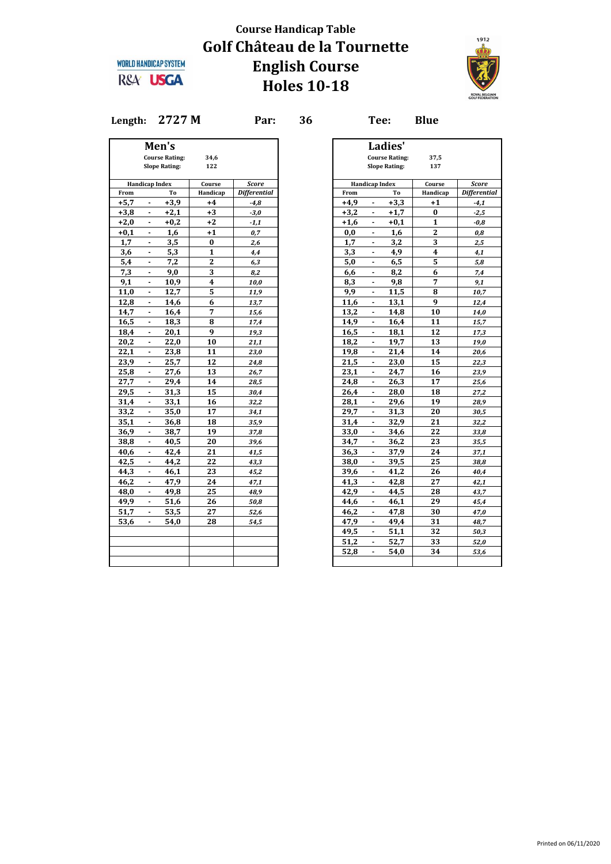

**Length: 2727 M Par: 36 Tee: Blue**

|              |                          | Men's                 |              |                     |
|--------------|--------------------------|-----------------------|--------------|---------------------|
|              |                          | <b>Course Rating:</b> | 34,6         |                     |
|              |                          | <b>Slope Rating:</b>  | 122          |                     |
|              |                          |                       |              |                     |
|              | <b>Handicap Index</b>    |                       | Course       | <b>Score</b>        |
| From         |                          | To                    | Handicap     | <b>Differential</b> |
| $+5,7$       | $\blacksquare$           | $+3,9$                | $+4$         | -4,8                |
| $+3,8$       | ٠                        | $+2,1$                | $+3$         | $-3,0$              |
| $+2,0$       | ٠                        | $+0,2$                | $+2$         | -1,1                |
| $+0,1$       | ä,                       | 1,6                   | $+1$         | 0,7                 |
| 1,7          | $\blacksquare$           | 3,5                   | $\bf{0}$     | 2,6                 |
| 3,6          | $\blacksquare$           | 5,3                   | $\mathbf{1}$ | 4,4                 |
| 5,4          |                          | 7,2                   | $\mathbf{2}$ | 6,3                 |
| 7,3          | $\blacksquare$           | 9,0                   | 3            | 8,2                 |
| 9,1          | $\blacksquare$           | 10,9                  | 4            | 10,0                |
| 11,0         | $\overline{\phantom{a}}$ | 12,7                  | 5            | 11,9                |
| 12,8         | ä,                       | 14,6                  | 6            | 13,7                |
| 14.7         | ٠                        | 16,4                  | 7            | 15,6                |
| 16,5         | $\overline{\phantom{a}}$ | 18,3                  | 8            | 17,4                |
| 18,4         | $\blacksquare$           | 20,1                  | 9            | 19,3                |
| 20,2         | $\blacksquare$           | 22,0                  | 10           | 21,1                |
| 22,1         | ٠                        | 23,8                  | 11           | 23,0                |
| 23,9         | ٠                        | 25,7                  | 12           | 24,8                |
| 25,8         |                          | 27,6                  | 13           | 26,7                |
| 27,7         | $\blacksquare$           | 29,4                  | 14           | 28,5                |
| 29,5         | ۰                        | 31,3                  | 15           | 30,4                |
| 31,4         | ٠                        | 33,1                  | 16           | 32,2                |
| 33,2         | ä,                       | 35,0                  | 17           | 34,1                |
| 35,1         | $\blacksquare$           | 36,8                  | 18           | 35,9                |
| 36,9         | $\blacksquare$           | 38,7                  | 19           | 37,8                |
| 38,8         |                          | 40,5                  | 20           | 39,6                |
| 40,6         | $\blacksquare$           | 42,4                  | 21           | 41,5                |
| 42,5         | ۰                        | 44,2                  | 22           | 43,3                |
| 44,3         | ٠                        | 46,1                  | 23           | 45,2                |
| 46,2         | $\blacksquare$           | 47,9                  | 24           | 47,1                |
| 48,0         | $\blacksquare$           | 49,8                  | 25           | 48,9                |
|              |                          | 51,6                  |              |                     |
| 49,9<br>51,7 | ۰<br>$\blacksquare$      |                       | 26<br>27     | 50,8                |
|              |                          | 53,5                  |              | 52,6                |
| 53,6         | $\blacksquare$           | 54,0                  | 28           | 54,5                |
|              |                          |                       |              |                     |
|              |                          |                       |              |                     |
|              |                          |                       |              |                     |
|              |                          |                       |              |                     |
|              |                          |                       |              |                     |

|            |                                | Men's                 |                                         |                     |        | Ladies'                              |                       |                     |
|------------|--------------------------------|-----------------------|-----------------------------------------|---------------------|--------|--------------------------------------|-----------------------|---------------------|
|            |                                | <b>Course Rating:</b> | 34,6                                    |                     |        | <b>Course Rating:</b>                | 37,5                  |                     |
|            |                                | <b>Slope Rating:</b>  | 122                                     |                     |        | <b>Slope Rating:</b>                 | 137                   |                     |
|            |                                |                       |                                         |                     |        |                                      |                       |                     |
|            | <b>Handicap Index</b>          |                       | Course                                  | Score               |        | <b>Handicap Index</b>                | Course                | <b>Score</b>        |
| From       |                                | To                    | Handicap                                | <b>Differential</b> | From   | Тo                                   | Handicap              | <b>Differential</b> |
| $+5,7$     |                                | $+3,9$                | $+4$                                    | -4,8                | $+4,9$ | $+3,3$                               | +1                    | $-4,1$              |
| $+3,8$     |                                | $+2,1$                | $+3$                                    | -3,0                | $+3,2$ | $+1,7$                               | $\bf{0}$              | $-2,5$              |
| $+2,0$     | $\blacksquare$                 | $+0,2$                | $+2$                                    | $-1,1$              | $+1,6$ | $+0,1$<br>$\overline{\phantom{a}}$   | $\mathbf{1}$          | -0,8                |
| $+0,1$     | ۰                              | 1,6                   | $+1$<br>$\bf{0}$                        | 0,7                 | 0,0    | 1,6                                  | $\boldsymbol{2}$<br>3 | 0,8                 |
| 1,7        | ٠                              | 3,5                   |                                         | 2,6                 | 1.7    | 3,2<br>٠                             |                       | 2,5                 |
| 3,6<br>5,4 |                                | 5,3                   | $\mathbf{1}$<br>$\overline{\mathbf{2}}$ | 4,4                 | 3,3    | 4,9                                  | 4<br>5                | 4,1                 |
|            | $\blacksquare$                 | 7,2                   | 3                                       | 6,3                 | 5,0    | 6,5<br>$\blacksquare$                |                       | 5,8                 |
| 7,3        | ٠                              | 9,0                   | 4                                       | 8,2                 | 6,6    | 8,2<br>$\qquad \qquad \blacksquare$  | 6<br>7                | 7,4                 |
| 9,1        | $\overline{\phantom{a}}$<br>ä, | 10,9                  | 5                                       | 10,0                | 8,3    | 9,8<br>٠<br>L,                       |                       | 9,1                 |
| 11,0       |                                | 12,7                  |                                         | 11,9                | 9,9    | 11,5                                 | 8                     | 10,7                |
| 12,8       | $\blacksquare$                 | 14,6                  | 6                                       | 13,7                | 11,6   | 13,1<br>$\overline{\phantom{a}}$     | 9                     | 12,4                |
| 14,7       | $\overline{\phantom{a}}$       | 16,4                  | 7                                       | 15,6                | 13,2   | ٠<br>14,8                            | 10                    | 14,0                |
| 16,5       | ٠                              | 18,3                  | 8                                       | 17,4                | 14,9   | 16,4                                 | 11                    | 15,7                |
| 18,4       | $\overline{\phantom{a}}$       | 20,1                  | 9                                       | 19,3                | 16,5   | ä,<br>18,1                           | 12                    | 17,3                |
| 20,2       | $\blacksquare$                 | 22,0                  | 10                                      | 21,1                | 18,2   | 19,7<br>$\blacksquare$               | 13                    | 19,0                |
| 22,1       | $\blacksquare$                 | 23,8                  | 11                                      | 23,0                | 19,8   | 21,4<br>$\qquad \qquad \blacksquare$ | 14                    | 20,6                |
| 23,9       | ٠                              | 25,7                  | 12                                      | 24,8                | 21,5   | 23,0                                 | 15                    | 22,3                |
| 25,8       | $\blacksquare$                 | 27,6                  | 13                                      | 26,7                | 23,1   | ä,<br>24,7                           | 16                    | 23,9                |
| 27,7       | $\blacksquare$                 | 29,4                  | 14                                      | 28,5                | 24,8   | 26,3<br>$\overline{\phantom{a}}$     | 17                    | 25,6                |
| 29,5       | $\overline{\phantom{a}}$       | 31,3                  | 15                                      | 30,4                | 26,4   | 28,0<br>٠                            | 18                    | 27,2                |
| 31,4       | ٠                              | 33,1                  | 16                                      | 32,2                | 28,1   | 29,6<br>ä,                           | 19                    | 28,9                |
| 33,2       | $\overline{\phantom{a}}$       | 35,0                  | 17                                      | 34,1                | 29,7   | 31,3<br>ä,                           | 20                    | 30,5                |
| 35,1       | $\blacksquare$                 | 36,8                  | 18                                      | 35,9                | 31,4   | 32,9<br>$\overline{\phantom{a}}$     | 21                    | 32,2                |
| 36,9       | $\blacksquare$                 | 38,7                  | 19                                      | 37,8                | 33,0   | 34,6<br>٠                            | 22                    | 33,8                |
| 38,8       | ä,                             | 40,5                  | 20                                      | 39,6                | 34,7   | 36,2<br>ä,                           | 23                    | 35,5                |
| 40,6       | $\blacksquare$                 | 42,4                  | 21                                      | 41,5                | 36,3   | 37,9<br>ä,                           | 24                    | 37,1                |
| 42,5       | $\blacksquare$                 | 44,2                  | 22                                      | 43,3                | 38,0   | 39,5<br>$\blacksquare$               | 25                    | 38,8                |
| 44,3       | ä,                             | 46,1                  | 23                                      | 45,2                | 39,6   | 41,2<br>٠                            | 26                    | 40,4                |
| 46,2       | ٠                              | 47,9                  | 24                                      | 47,1                | 41,3   | 42,8<br>ä,                           | 27                    | 42,1                |
| 48,0       | $\mathbf{r}$                   | 49,8                  | 25                                      | 48,9                | 42,9   | ä,<br>44,5                           | 28                    | 43,7                |
| 49,9       | $\blacksquare$                 | 51,6                  | 26                                      | 50,8                | 44,6   | 46,1<br>$\overline{\phantom{a}}$     | 29                    | 45,4                |
| 51,7       | $\overline{\phantom{a}}$       | 53,5                  | 27                                      | 52,6                | 46,2   | 47,8<br>٠                            | 30                    | 47,0                |
| 53,6       |                                | 54,0                  | 28                                      | 54,5                | 47,9   | 49,4<br>$\blacksquare$               | 31                    | 48,7                |
|            |                                |                       |                                         |                     | 49,5   | ä,<br>51,1                           | 32                    | 50,3                |
|            |                                |                       |                                         |                     | 51,2   | 52,7<br>$\overline{\phantom{a}}$     | 33                    | 52,0                |
|            |                                |                       |                                         |                     | 52,8   | ä,<br>54,0                           | 34                    | 53,6                |
|            |                                |                       |                                         |                     |        |                                      |                       |                     |